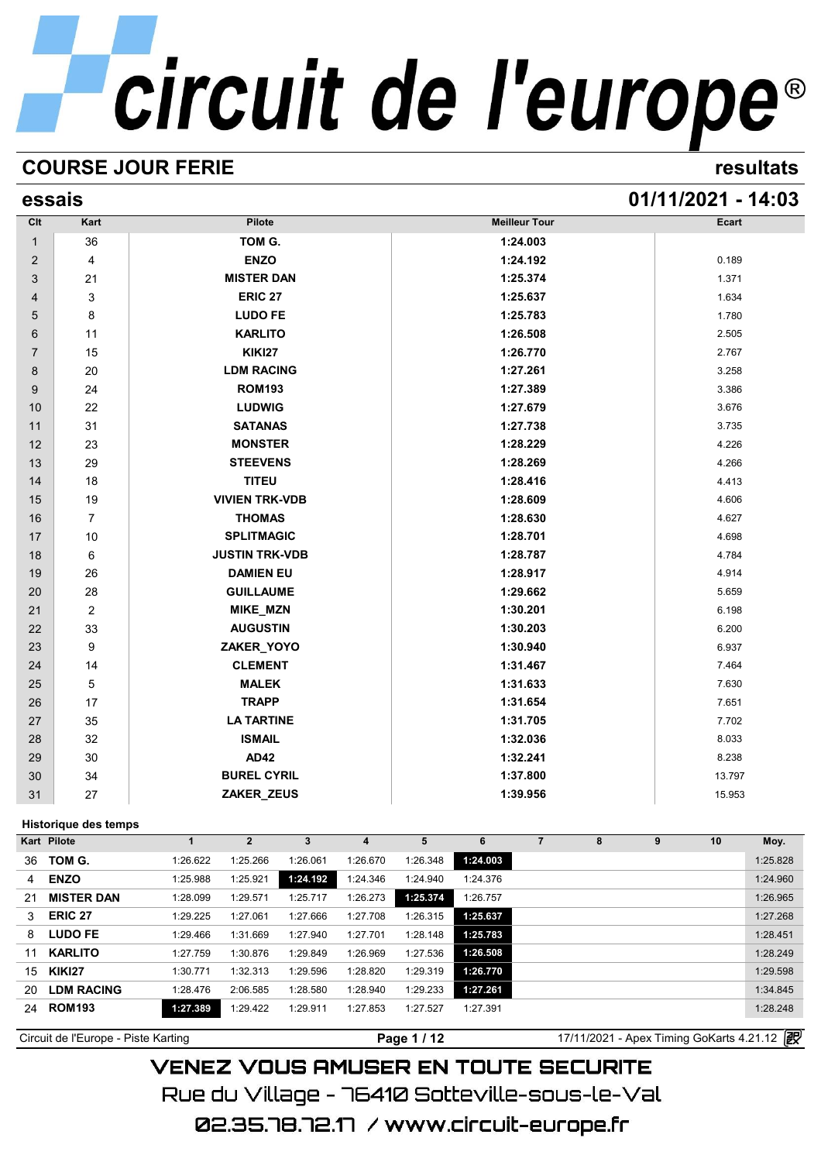# **COURSE JOUR FERIE resultats**

# **essais 01/11/2021 - 14:03**

| Clt            | Kart           | Pilote                | <b>Meilleur Tour</b> | Ecart  |
|----------------|----------------|-----------------------|----------------------|--------|
| $\mathbf{1}$   | 36             | TOM G.                | 1:24.003             |        |
| $\overline{c}$ | $\overline{4}$ | <b>ENZO</b>           | 1:24.192             | 0.189  |
| 3              | 21             | <b>MISTER DAN</b>     | 1:25.374             | 1.371  |
| 4              | 3              | <b>ERIC 27</b>        | 1:25.637             | 1.634  |
| 5              | 8              | <b>LUDO FE</b>        | 1:25.783             | 1.780  |
| 6              | 11             | <b>KARLITO</b>        | 1:26.508             | 2.505  |
| $\overline{7}$ | 15             | <b>KIKI27</b>         | 1:26.770             | 2.767  |
| 8              | 20             | <b>LDM RACING</b>     | 1:27.261             | 3.258  |
| 9              | 24             | <b>ROM193</b>         | 1:27.389             | 3.386  |
| 10             | 22             | <b>LUDWIG</b>         | 1:27.679             | 3.676  |
| 11             | 31             | <b>SATANAS</b>        | 1:27.738             | 3.735  |
| 12             | 23             | <b>MONSTER</b>        | 1:28.229             | 4.226  |
| 13             | 29             | <b>STEEVENS</b>       | 1:28.269             | 4.266  |
| 14             | 18             | <b>TITEU</b>          | 1:28.416             | 4.413  |
| 15             | 19             | <b>VIVIEN TRK-VDB</b> | 1:28.609             | 4.606  |
| 16             | $\overline{7}$ | <b>THOMAS</b>         | 1:28.630             | 4.627  |
| 17             | 10             | <b>SPLITMAGIC</b>     | 1:28.701             | 4.698  |
| 18             | 6              | <b>JUSTIN TRK-VDB</b> | 1:28.787             | 4.784  |
| 19             | 26             | <b>DAMIEN EU</b>      | 1:28.917             | 4.914  |
| 20             | 28             | <b>GUILLAUME</b>      | 1:29.662             | 5.659  |
| 21             | $\overline{2}$ | <b>MIKE_MZN</b>       | 1:30.201             | 6.198  |
| 22             | 33             | <b>AUGUSTIN</b>       | 1:30.203             | 6.200  |
| 23             | 9              | ZAKER_YOYO            | 1:30.940             | 6.937  |
| 24             | 14             | <b>CLEMENT</b>        | 1:31.467             | 7.464  |
| 25             | 5              | <b>MALEK</b>          | 1:31.633             | 7.630  |
| 26             | 17             | <b>TRAPP</b>          | 1:31.654             | 7.651  |
| 27             | 35             | <b>LA TARTINE</b>     | 1:31.705             | 7.702  |
| 28             | 32             | <b>ISMAIL</b>         | 1:32.036             | 8.033  |
| 29             | 30             | <b>AD42</b>           | 1:32.241             | 8.238  |
| 30             | 34             | <b>BUREL CYRIL</b>    | 1:37.800             | 13.797 |
| 31             | 27             | ZAKER_ZEUS            | 1:39.956             | 15.953 |

# **Historique des temps**

|                                                                                                                                                                                                | $\overline{2}$ | 3        | 4        | 5        | 6        | 8 | 9 | 10 | Moy.     |
|------------------------------------------------------------------------------------------------------------------------------------------------------------------------------------------------|----------------|----------|----------|----------|----------|---|---|----|----------|
| 1:26.622                                                                                                                                                                                       | 1:25.266       | 1:26.061 | 1:26.670 | 1:26.348 | 1:24.003 |   |   |    | 1:25.828 |
| 1:25.988                                                                                                                                                                                       | 1:25.921       | 1:24.192 | 1:24.346 | 1:24.940 | 1:24.376 |   |   |    | 1:24.960 |
| 1:28.099                                                                                                                                                                                       | 1:29.571       | 1:25.717 | 1:26.273 | 1:25.374 | 1:26.757 |   |   |    | 1:26.965 |
| 1:29.225                                                                                                                                                                                       | 1:27.061       | 1:27.666 | 1:27.708 | 1:26.315 | 1:25.637 |   |   |    | 1:27.268 |
| 1:29.466                                                                                                                                                                                       | 1:31.669       | 1:27.940 | 1:27.701 | 1:28.148 | 1:25.783 |   |   |    | 1:28.451 |
| 1:27.759                                                                                                                                                                                       | 1:30.876       | 1:29.849 | 1:26.969 | 1:27.536 | 1:26.508 |   |   |    | 1:28.249 |
| 1:30.771                                                                                                                                                                                       | 1:32.313       | 1:29.596 | 1:28.820 | 1:29.319 | 1:26.770 |   |   |    | 1:29.598 |
| 1:28.476                                                                                                                                                                                       | 2:06.585       | 1:28.580 | 1:28.940 | 1:29.233 | 1:27.261 |   |   |    | 1:34.845 |
| 1:27.389                                                                                                                                                                                       | 1:29.422       | 1:29.911 | 1:27.853 | 1:27.527 | 1:27.391 |   |   |    | 1:28.248 |
| Historique des temps<br>Kart Pilote<br>TOM G.<br><b>ENZO</b><br><b>MISTER DAN</b><br><b>ERIC 27</b><br><b>LUDO FE</b><br><b>KARLITO</b><br><b>KIKI27</b><br><b>LDM RACING</b><br><b>ROM193</b> |                |          |          |          |          |   |   |    |          |

Circuit de l'Europe - Piste Karting **Page 1 / 12** Page 1 / 12 17/11/2021 - Apex Timing GoKarts 4.21.12 图

**VENEZ VOUS AMUSER EN TOUTE SECURITE** Rue du Village – 76410 Sotteville-sous-le-Val 02.35.78.72.17 /www.circuit-europe.fr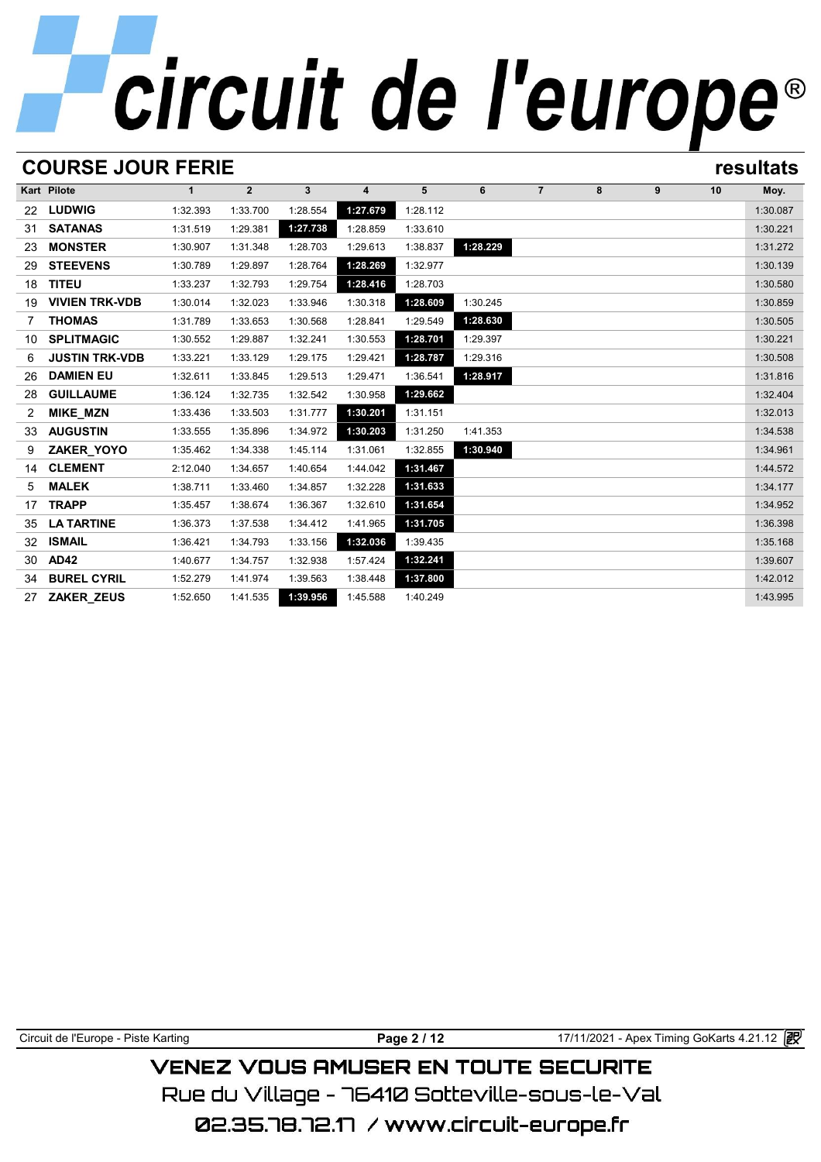# **COURSE JOUR FERIE resultats**

|                | Kart Pilote           | $\mathbf{1}$ | $\overline{2}$ | 3        | 4        | 5        | 6        | $\overline{7}$ | 8 | 9 | 10 | Moy.     |
|----------------|-----------------------|--------------|----------------|----------|----------|----------|----------|----------------|---|---|----|----------|
| 22             | <b>LUDWIG</b>         | 1:32.393     | 1:33.700       | 1:28.554 | 1:27.679 | 1:28.112 |          |                |   |   |    | 1:30.087 |
| 31             | <b>SATANAS</b>        | 1:31.519     | 1:29.381       | 1:27.738 | 1:28.859 | 1:33.610 |          |                |   |   |    | 1:30.221 |
| 23             | <b>MONSTER</b>        | 1:30.907     | 1:31.348       | 1:28.703 | 1:29.613 | 1:38.837 | 1:28.229 |                |   |   |    | 1:31.272 |
| 29             | <b>STEEVENS</b>       | 1:30.789     | 1:29.897       | 1:28.764 | 1:28.269 | 1:32.977 |          |                |   |   |    | 1:30.139 |
| 18             | <b>TITEU</b>          | 1:33.237     | 1:32.793       | 1:29.754 | 1:28.416 | 1:28.703 |          |                |   |   |    | 1:30.580 |
| 19             | <b>VIVIEN TRK-VDB</b> | 1:30.014     | 1:32.023       | 1:33.946 | 1:30.318 | 1:28.609 | 1:30.245 |                |   |   |    | 1:30.859 |
| $\overline{7}$ | <b>THOMAS</b>         | 1:31.789     | 1:33.653       | 1:30.568 | 1:28.841 | 1:29.549 | 1:28.630 |                |   |   |    | 1:30.505 |
| 10             | <b>SPLITMAGIC</b>     | 1:30.552     | 1:29.887       | 1:32.241 | 1:30.553 | 1:28.701 | 1:29.397 |                |   |   |    | 1:30.221 |
| 6              | <b>JUSTIN TRK-VDB</b> | 1:33.221     | 1:33.129       | 1:29.175 | 1:29.421 | 1:28.787 | 1:29.316 |                |   |   |    | 1:30.508 |
| 26             | <b>DAMIEN EU</b>      | 1:32.611     | 1:33.845       | 1:29.513 | 1:29.471 | 1:36.541 | 1:28.917 |                |   |   |    | 1:31.816 |
| 28             | <b>GUILLAUME</b>      | 1:36.124     | 1:32.735       | 1:32.542 | 1:30.958 | 1:29.662 |          |                |   |   |    | 1:32.404 |
| 2              | MIKE_MZN              | 1:33.436     | 1:33.503       | 1:31.777 | 1:30.201 | 1:31.151 |          |                |   |   |    | 1:32.013 |
| 33             | <b>AUGUSTIN</b>       | 1:33.555     | 1:35.896       | 1:34.972 | 1:30.203 | 1:31.250 | 1:41.353 |                |   |   |    | 1:34.538 |
| 9              | ZAKER_YOYO            | 1:35.462     | 1:34.338       | 1:45.114 | 1:31.061 | 1:32.855 | 1:30.940 |                |   |   |    | 1:34.961 |
| 14             | <b>CLEMENT</b>        | 2:12.040     | 1:34.657       | 1:40.654 | 1:44.042 | 1:31.467 |          |                |   |   |    | 1:44.572 |
| 5              | <b>MALEK</b>          | 1:38.711     | 1:33.460       | 1:34.857 | 1:32.228 | 1:31.633 |          |                |   |   |    | 1:34.177 |
| 17             | <b>TRAPP</b>          | 1:35.457     | 1:38.674       | 1:36.367 | 1:32.610 | 1:31.654 |          |                |   |   |    | 1:34.952 |
| 35             | <b>LA TARTINE</b>     | 1:36.373     | 1:37.538       | 1:34.412 | 1:41.965 | 1:31.705 |          |                |   |   |    | 1:36.398 |
| 32             | <b>ISMAIL</b>         | 1:36.421     | 1:34.793       | 1:33.156 | 1:32.036 | 1:39.435 |          |                |   |   |    | 1:35.168 |
| 30             | <b>AD42</b>           | 1:40.677     | 1:34.757       | 1:32.938 | 1:57.424 | 1:32.241 |          |                |   |   |    | 1:39.607 |
| 34             | <b>BUREL CYRIL</b>    | 1:52.279     | 1:41.974       | 1:39.563 | 1:38.448 | 1:37.800 |          |                |   |   |    | 1:42.012 |
| 27             | <b>ZAKER ZEUS</b>     | 1:52.650     | 1:41.535       | 1:39.956 | 1:45.588 | 1:40.249 |          |                |   |   |    | 1:43.995 |

Circuit de l'Europe - Piste Karting **Page 2 / 12 Page 2 / 12** 17/11/2021 - Apex Timing GoKarts 4.21.12

# **VENEZ VOUS AMUSER EN TOUTE SECURITE**

Rue du Village – 76410 Sotteville-sous-le-Val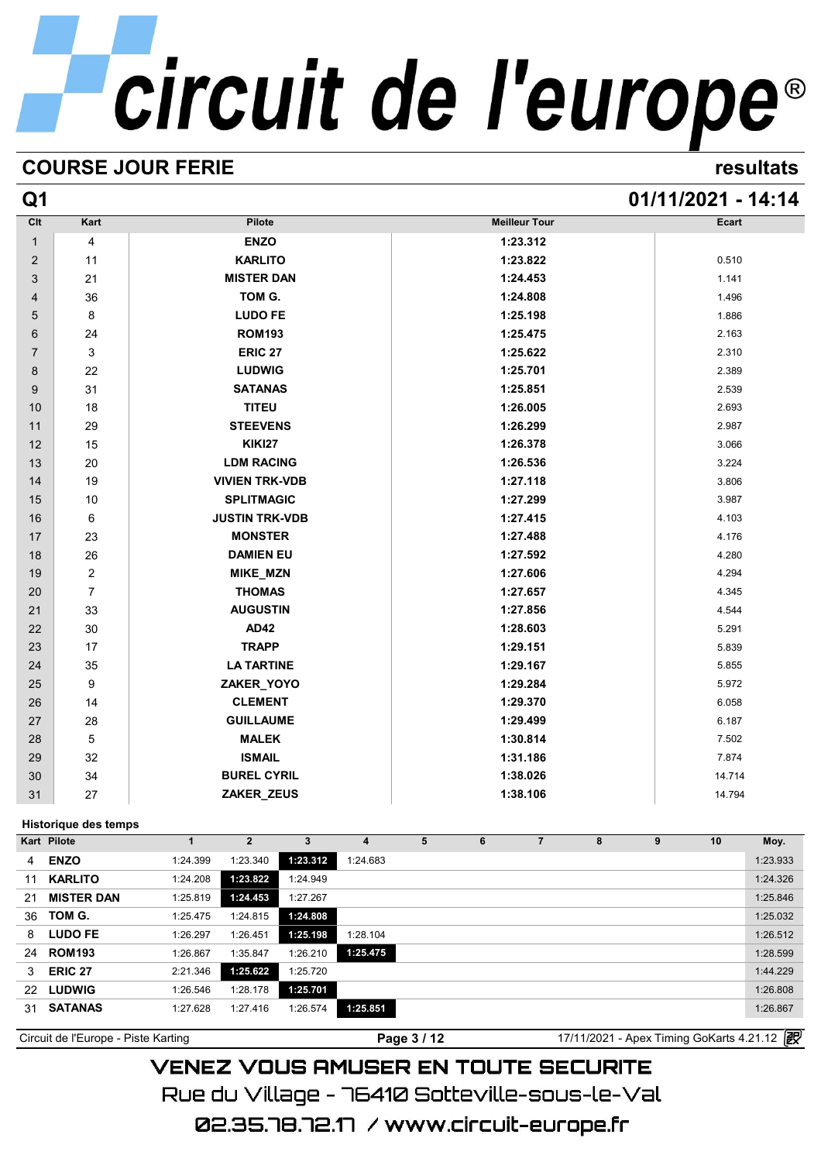# **COURSE JOUR FERIE resultats**

# **Q1 01/11/2021 - 14:14**

| Clt            | Kart           | Pilote                | <b>Meilleur Tour</b> | Ecart  |
|----------------|----------------|-----------------------|----------------------|--------|
| $\mathbf{1}$   | 4              | <b>ENZO</b>           | 1:23.312             |        |
| $\overline{2}$ | 11             | <b>KARLITO</b>        | 1:23.822             | 0.510  |
| 3              | 21             | <b>MISTER DAN</b>     | 1:24.453             | 1.141  |
| 4              | 36             | TOM G.                | 1:24.808             | 1.496  |
| 5              | 8              | <b>LUDO FE</b>        | 1:25.198             | 1.886  |
| 6              | 24             | <b>ROM193</b>         | 1:25.475             | 2.163  |
| $\overline{7}$ | 3              | <b>ERIC 27</b>        | 1:25.622             | 2.310  |
| 8              | 22             | <b>LUDWIG</b>         | 1:25.701             | 2.389  |
| 9              | 31             | <b>SATANAS</b>        | 1:25.851             | 2.539  |
| 10             | 18             | <b>TITEU</b>          | 1:26.005             | 2.693  |
| 11             | 29             | <b>STEEVENS</b>       | 1:26.299             | 2.987  |
| 12             | 15             | <b>KIKI27</b>         | 1:26.378             | 3.066  |
| 13             | 20             | <b>LDM RACING</b>     | 1:26.536             | 3.224  |
| 14             | 19             | <b>VIVIEN TRK-VDB</b> | 1:27.118             | 3.806  |
| 15             | $10$           | <b>SPLITMAGIC</b>     | 1:27.299             | 3.987  |
| 16             | 6              | <b>JUSTIN TRK-VDB</b> | 1:27.415             | 4.103  |
| 17             | 23             | <b>MONSTER</b>        | 1:27.488             | 4.176  |
| 18             | 26             | <b>DAMIEN EU</b>      | 1:27.592             | 4.280  |
| 19             | 2              | MIKE_MZN              | 1:27.606             | 4.294  |
| 20             | $\overline{7}$ | <b>THOMAS</b>         | 1:27.657             | 4.345  |
| 21             | 33             | <b>AUGUSTIN</b>       | 1:27.856             | 4.544  |
| 22             | $30\,$         | <b>AD42</b>           | 1:28.603             | 5.291  |
| 23             | 17             | <b>TRAPP</b>          | 1:29.151             | 5.839  |
| 24             | 35             | <b>LA TARTINE</b>     | 1:29.167             | 5.855  |
| 25             | 9              | ZAKER_YOYO            | 1:29.284             | 5.972  |
| 26             | 14             | <b>CLEMENT</b>        | 1:29.370             | 6.058  |
| 27             | 28             | <b>GUILLAUME</b>      | 1:29.499             | 6.187  |
| 28             | 5              | <b>MALEK</b>          | 1:30.814             | 7.502  |
| 29             | 32             | <b>ISMAIL</b>         | 1:31.186             | 7.874  |
| 30             | 34             | <b>BUREL CYRIL</b>    | 1:38.026             | 14.714 |
| 31             | 27             | ZAKER_ZEUS            | 1:38.106             | 14.794 |

# **Historique des temps**

| <b>Historique des temps</b> |                                             |                |          |          |   |   |  |   |   |    |          |
|-----------------------------|---------------------------------------------|----------------|----------|----------|---|---|--|---|---|----|----------|
|                             |                                             | $\overline{2}$ | 3        | 4        | 5 | 6 |  | 8 | 9 | 10 | Moy.     |
|                             | 1:24.399                                    | 1:23.340       | 1:23.312 | 1:24.683 |   |   |  |   |   |    | 1:23.933 |
| <b>KARLITO</b>              | 1:24.208                                    | 1:23.822       | 1:24.949 |          |   |   |  |   |   |    | 1:24.326 |
| <b>MISTER DAN</b>           | 1:25.819                                    | 1:24.453       | 1:27.267 |          |   |   |  |   |   |    | 1:25.846 |
| TOM G.                      | 1:25.475                                    | 1:24.815       | 1:24.808 |          |   |   |  |   |   |    | 1:25.032 |
| <b>LUDO FE</b>              | 1:26.297                                    | 1:26.451       | 1:25.198 | 1:28.104 |   |   |  |   |   |    | 1:26.512 |
| <b>ROM193</b>               | 1:26.867                                    | 1:35.847       | 1:26.210 | 1:25.475 |   |   |  |   |   |    | 1:28.599 |
| ERIC <sub>27</sub>          | 2:21.346                                    | 1:25.622       | 1:25.720 |          |   |   |  |   |   |    | 1:44.229 |
|                             | 1:26.546                                    | 1:28.178       | 1:25.701 |          |   |   |  |   |   |    | 1:26.808 |
| <b>SATANAS</b>              | 1:27.628                                    | 1:27.416       | 1:26.574 | 1:25.851 |   |   |  |   |   |    | 1:26.867 |
|                             | Kart Pilote<br><b>ENZO</b><br><b>LUDWIG</b> |                |          |          |   |   |  |   |   |    |          |

Circuit de l'Europe - Piste Karting **Page 3 / 12** Page 3 / 12 17/11/2021 - Apex Timing GoKarts 4.21.12

# **VENEZ VOUS AMUSER EN TOUTE SECURITE** Rue du Village – 76410 Sotteville-sous-le-Val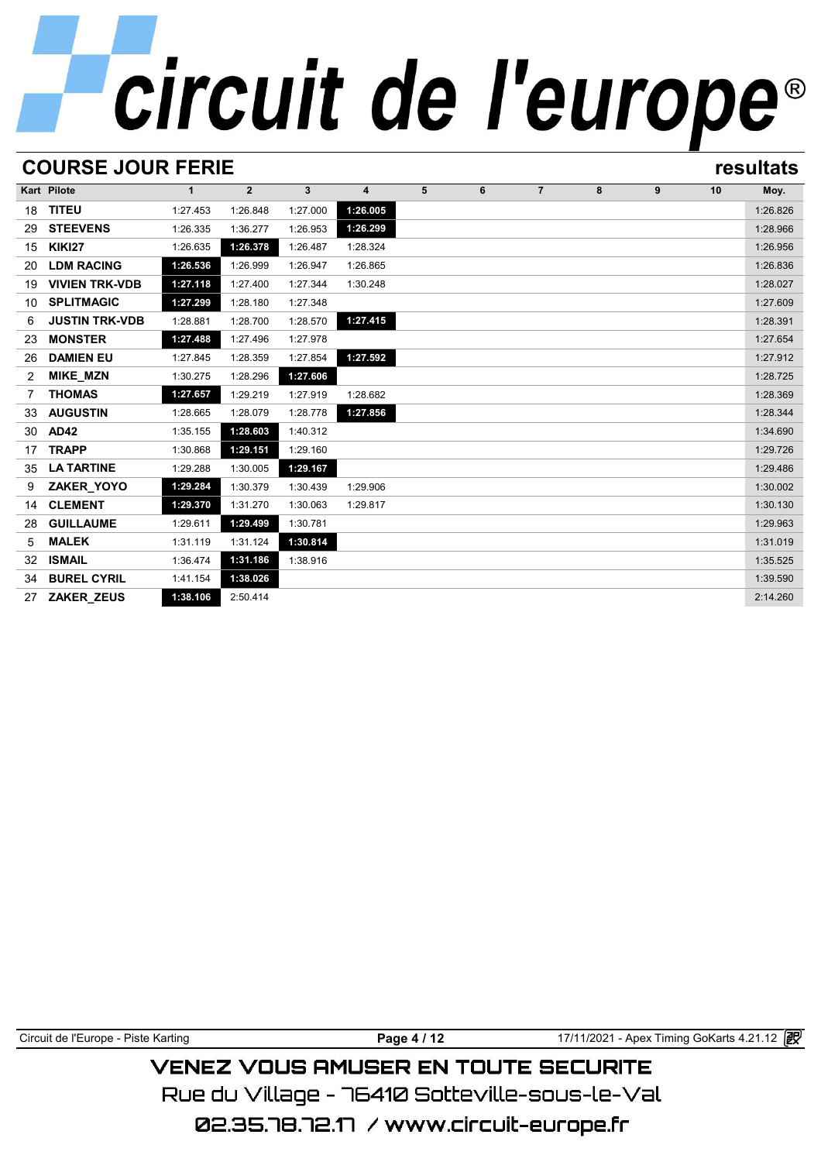# **COURSE JOUR FERIE resultats**

|    | <b>Kart Pilote</b>    | $\mathbf{1}$ | $\overline{2}$ | 3        | $\overline{\mathbf{4}}$ | 5 | 6 | $\overline{7}$ | 8 | 9 | 10 | Moy.     |
|----|-----------------------|--------------|----------------|----------|-------------------------|---|---|----------------|---|---|----|----------|
| 18 | <b>TITEU</b>          | 1:27.453     | 1:26.848       | 1:27.000 | 1:26.005                |   |   |                |   |   |    | 1:26.826 |
| 29 | <b>STEEVENS</b>       | 1:26.335     | 1:36.277       | 1:26.953 | 1:26.299                |   |   |                |   |   |    | 1:28.966 |
| 15 | <b>KIKI27</b>         | 1:26.635     | 1:26.378       | 1:26.487 | 1:28.324                |   |   |                |   |   |    | 1:26.956 |
| 20 | <b>LDM RACING</b>     | 1:26.536     | 1:26.999       | 1:26.947 | 1:26.865                |   |   |                |   |   |    | 1:26.836 |
| 19 | <b>VIVIEN TRK-VDB</b> | 1:27.118     | 1:27.400       | 1:27.344 | 1:30.248                |   |   |                |   |   |    | 1:28.027 |
| 10 | <b>SPLITMAGIC</b>     | 1:27.299     | 1:28.180       | 1:27.348 |                         |   |   |                |   |   |    | 1:27.609 |
| 6  | <b>JUSTIN TRK-VDB</b> | 1:28.881     | 1:28.700       | 1:28.570 | 1:27.415                |   |   |                |   |   |    | 1:28.391 |
| 23 | <b>MONSTER</b>        | 1:27.488     | 1:27.496       | 1:27.978 |                         |   |   |                |   |   |    | 1:27.654 |
| 26 | <b>DAMIEN EU</b>      | 1:27.845     | 1:28.359       | 1:27.854 | 1:27.592                |   |   |                |   |   |    | 1:27.912 |
| 2  | <b>MIKE_MZN</b>       | 1:30.275     | 1:28.296       | 1:27.606 |                         |   |   |                |   |   |    | 1:28.725 |
| 7  | <b>THOMAS</b>         | 1:27.657     | 1:29.219       | 1:27.919 | 1:28.682                |   |   |                |   |   |    | 1:28.369 |
| 33 | <b>AUGUSTIN</b>       | 1:28.665     | 1:28.079       | 1:28.778 | 1:27.856                |   |   |                |   |   |    | 1:28.344 |
| 30 | <b>AD42</b>           | 1:35.155     | 1:28.603       | 1:40.312 |                         |   |   |                |   |   |    | 1:34.690 |
| 17 | <b>TRAPP</b>          | 1:30.868     | 1:29.151       | 1:29.160 |                         |   |   |                |   |   |    | 1:29.726 |
| 35 | <b>LA TARTINE</b>     | 1:29.288     | 1:30.005       | 1:29.167 |                         |   |   |                |   |   |    | 1:29.486 |
| 9  | ZAKER_YOYO            | 1:29.284     | 1:30.379       | 1:30.439 | 1:29.906                |   |   |                |   |   |    | 1:30.002 |
| 14 | <b>CLEMENT</b>        | 1:29.370     | 1:31.270       | 1:30.063 | 1:29.817                |   |   |                |   |   |    | 1:30.130 |
| 28 | <b>GUILLAUME</b>      | 1:29.611     | 1:29.499       | 1:30.781 |                         |   |   |                |   |   |    | 1:29.963 |
| 5  | <b>MALEK</b>          | 1:31.119     | 1:31.124       | 1:30.814 |                         |   |   |                |   |   |    | 1:31.019 |
| 32 | <b>ISMAIL</b>         | 1:36.474     | 1:31.186       | 1:38.916 |                         |   |   |                |   |   |    | 1:35.525 |
| 34 | <b>BUREL CYRIL</b>    | 1:41.154     | 1:38.026       |          |                         |   |   |                |   |   |    | 1:39.590 |
| 27 | ZAKER_ZEUS            | 1:38.106     | 2:50.414       |          |                         |   |   |                |   |   |    | 2:14.260 |

| Circuit de l'Europe - Piste Karting |  |
|-------------------------------------|--|
|-------------------------------------|--|

**Page 4 / 12** 17/11/2021 - Apex Timing GoKarts 4.21.12

# **VENEZ VOUS AMUSER EN TOUTE SECURITE**

Rue du Village – 76410 Sotteville-sous-le-Val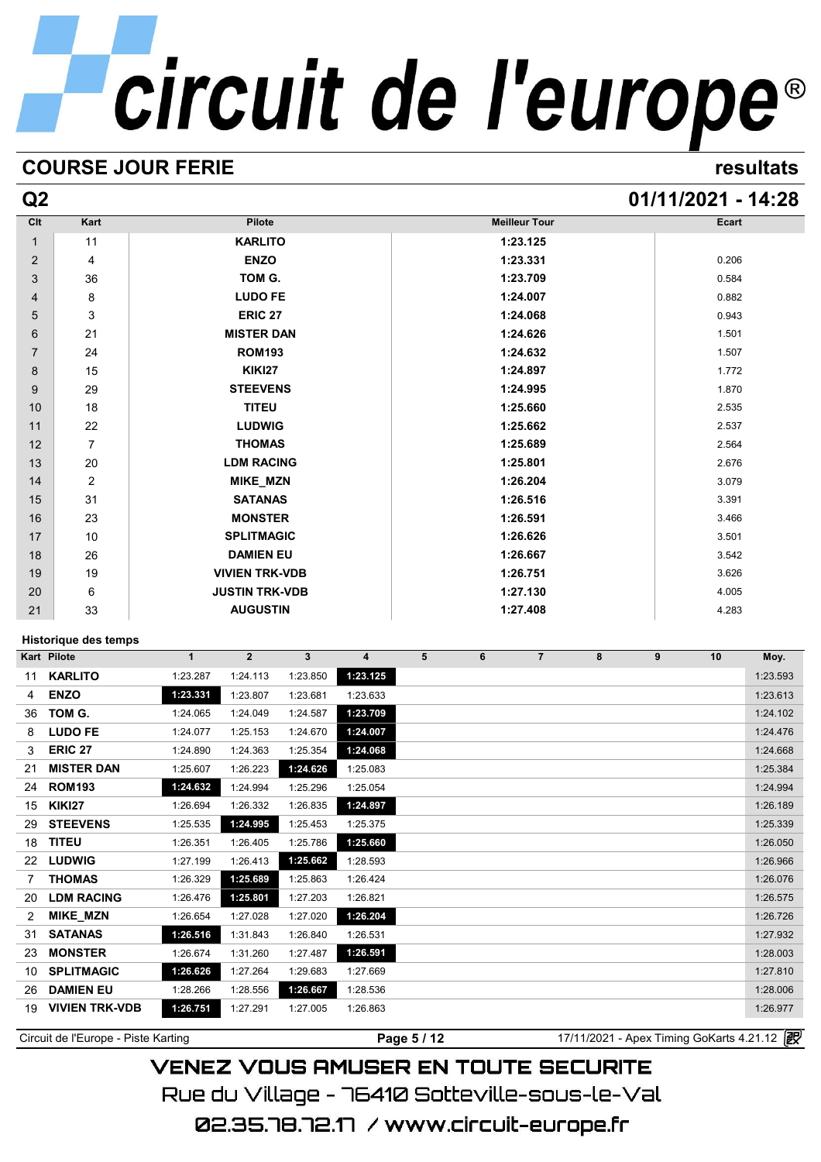# **COURSE JOUR FERIE resultats**

# **Q2 01/11/2021 - 14:28**

| Clt | Kart           | Pilote                | <b>Meilleur Tour</b> | Ecart |
|-----|----------------|-----------------------|----------------------|-------|
| 1   | 11             | <b>KARLITO</b>        | 1:23.125             |       |
| 2   | 4              | <b>ENZO</b>           | 1:23.331             | 0.206 |
| 3   | 36             | TOM G.                | 1:23.709             | 0.584 |
| 4   | 8              | <b>LUDO FE</b>        | 1:24.007             | 0.882 |
| 5   | 3              | <b>ERIC 27</b>        | 1:24.068             | 0.943 |
| 6   | 21             | <b>MISTER DAN</b>     | 1:24.626             | 1.501 |
| 7   | 24             | <b>ROM193</b>         | 1:24.632             | 1.507 |
| 8   | 15             | <b>KIKI27</b>         | 1:24.897             | 1.772 |
| 9   | 29             | <b>STEEVENS</b>       | 1:24.995             | 1.870 |
| 10  | 18             | <b>TITEU</b>          | 1:25.660             | 2.535 |
| 11  | 22             | <b>LUDWIG</b>         | 1:25.662             | 2.537 |
| 12  | 7              | <b>THOMAS</b>         | 1:25.689             | 2.564 |
| 13  | 20             | <b>LDM RACING</b>     | 1:25.801             | 2.676 |
| 14  | $\overline{2}$ | MIKE_MZN              | 1:26.204             | 3.079 |
| 15  | 31             | <b>SATANAS</b>        | 1:26.516             | 3.391 |
| 16  | 23             | <b>MONSTER</b>        | 1:26.591             | 3.466 |
| 17  | 10             | <b>SPLITMAGIC</b>     | 1:26.626             | 3.501 |
| 18  | 26             | <b>DAMIEN EU</b>      | 1:26.667             | 3.542 |
| 19  | 19             | <b>VIVIEN TRK-VDB</b> | 1:26.751             | 3.626 |
| 20  | 6              | <b>JUSTIN TRK-VDB</b> | 1:27.130             | 4.005 |
| 21  | 33             | <b>AUGUSTIN</b>       | 1:27.408             | 4.283 |

# **Historique des temps**

|    | Historique des temps  |              |                |              |          |   |   |                |   |   |    |          |
|----|-----------------------|--------------|----------------|--------------|----------|---|---|----------------|---|---|----|----------|
|    | Kart Pilote           | $\mathbf{1}$ | $\overline{2}$ | $\mathbf{3}$ | 4        | 5 | 6 | $\overline{7}$ | 8 | 9 | 10 | Moy.     |
| 11 | <b>KARLITO</b>        | 1:23.287     | 1:24.113       | 1:23.850     | 1:23.125 |   |   |                |   |   |    | 1:23.593 |
| 4  | <b>ENZO</b>           | 1:23.331     | 1:23.807       | 1:23.681     | 1:23.633 |   |   |                |   |   |    | 1:23.613 |
| 36 | TOM G.                | 1:24.065     | 1:24.049       | 1:24.587     | 1:23.709 |   |   |                |   |   |    | 1:24.102 |
| 8  | <b>LUDO FE</b>        | 1:24.077     | 1:25.153       | 1:24.670     | 1:24.007 |   |   |                |   |   |    | 1:24.476 |
| 3  | <b>ERIC 27</b>        | 1:24.890     | 1:24.363       | 1:25.354     | 1:24.068 |   |   |                |   |   |    | 1:24.668 |
| 21 | <b>MISTER DAN</b>     | 1:25.607     | 1:26.223       | 1:24.626     | 1:25.083 |   |   |                |   |   |    | 1:25.384 |
| 24 | <b>ROM193</b>         | 1:24.632     | 1:24.994       | 1:25.296     | 1:25.054 |   |   |                |   |   |    | 1:24.994 |
| 15 | <b>KIKI27</b>         | 1:26.694     | 1:26.332       | 1:26.835     | 1:24.897 |   |   |                |   |   |    | 1:26.189 |
| 29 | <b>STEEVENS</b>       | 1:25.535     | 1:24.995       | 1:25.453     | 1:25.375 |   |   |                |   |   |    | 1:25.339 |
| 18 | <b>TITEU</b>          | 1:26.351     | 1:26.405       | 1:25.786     | 1:25.660 |   |   |                |   |   |    | 1:26.050 |
| 22 | <b>LUDWIG</b>         | 1:27.199     | 1:26.413       | 1:25.662     | 1:28.593 |   |   |                |   |   |    | 1:26.966 |
| 7  | <b>THOMAS</b>         | 1:26.329     | 1:25.689       | 1:25.863     | 1:26.424 |   |   |                |   |   |    | 1:26.076 |
| 20 | <b>LDM RACING</b>     | 1:26.476     | 1:25.801       | 1:27.203     | 1:26.821 |   |   |                |   |   |    | 1:26.575 |
| 2  | <b>MIKE MZN</b>       | 1:26.654     | 1:27.028       | 1:27.020     | 1:26.204 |   |   |                |   |   |    | 1:26.726 |
| 31 | <b>SATANAS</b>        | 1:26.516     | 1:31.843       | 1:26.840     | 1:26.531 |   |   |                |   |   |    | 1:27.932 |
| 23 | <b>MONSTER</b>        | 1:26.674     | 1:31.260       | 1:27.487     | 1:26.591 |   |   |                |   |   |    | 1:28.003 |
| 10 | <b>SPLITMAGIC</b>     | 1:26.626     | 1:27.264       | 1:29.683     | 1:27.669 |   |   |                |   |   |    | 1:27.810 |
| 26 | <b>DAMIEN EU</b>      | 1:28.266     | 1:28.556       | 1:26.667     | 1:28.536 |   |   |                |   |   |    | 1:28.006 |
| 19 | <b>VIVIEN TRK-VDB</b> | 1:26.751     | 1:27.291       | 1:27.005     | 1:26.863 |   |   |                |   |   |    | 1:26.977 |

Circuit de l'Europe - Piste Karting<br> **Page 5 / 12** 17/11/2021 - Apex Timing GoKarts 4.21.12

# **VENEZ VOUS AMUSER EN TOUTE SECURITE** Rue du Village – 76410 Sotteville-sous-le-Val 02.35.78.72.17 /www.circuit-europe.fr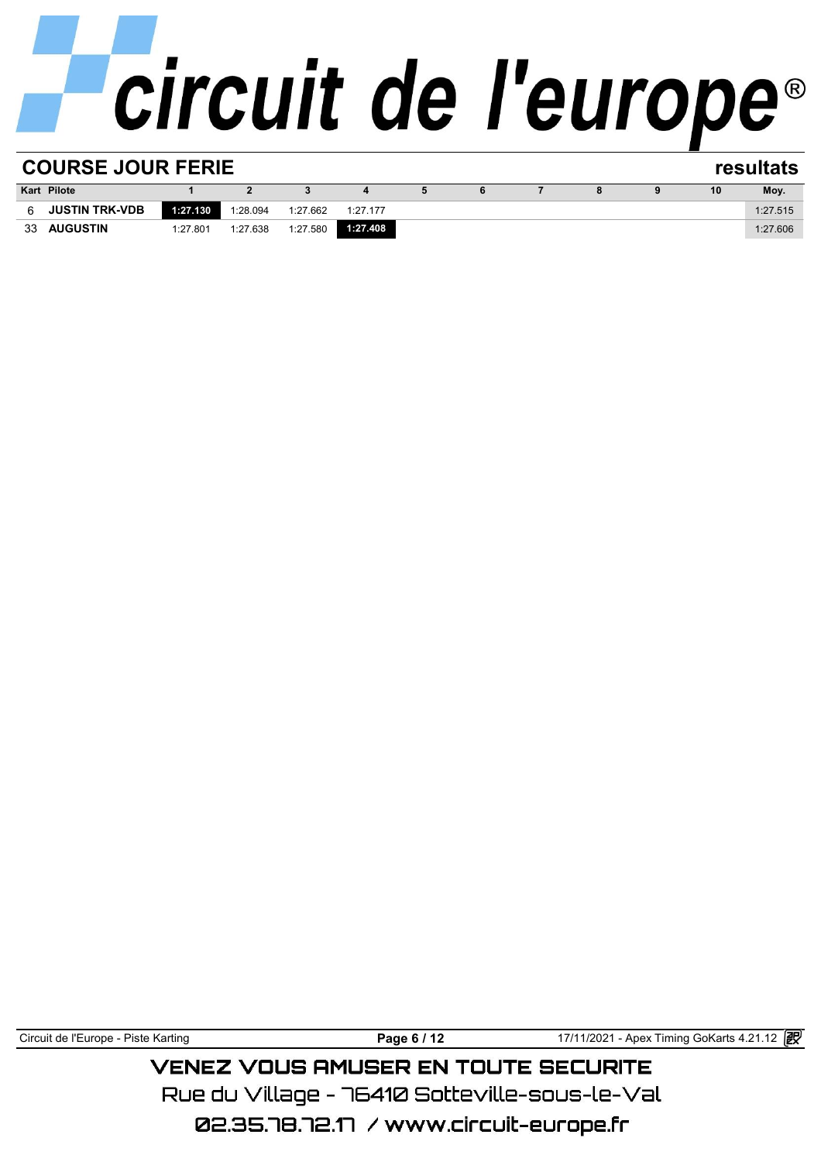| <b>COURSE JOUR FERIE</b><br>resultats |                       |          |          |          |          |  |  |  |  |  |    |          |
|---------------------------------------|-----------------------|----------|----------|----------|----------|--|--|--|--|--|----|----------|
|                                       | <b>Kart Pilote</b>    |          |          |          |          |  |  |  |  |  | 10 | Moy.     |
| 6.                                    | <b>JUSTIN TRK-VDB</b> | 1:27.130 | 1:28.094 | 1:27.662 | 1:27.177 |  |  |  |  |  |    | 1:27.515 |
| 33                                    | <b>AUGUSTIN</b>       | 1:27.801 | 1:27.638 | 1:27.580 | 1:27.408 |  |  |  |  |  |    | 1:27.606 |
|                                       |                       |          |          |          |          |  |  |  |  |  |    |          |

Circuit de l'Europe - Piste Karting **Page 6 / 12 Page 6 / 12** 17/11/2021 - Apex Timing GoKarts 4.21.12 **图** 

**VENEZ VOUS AMUSER EN TOUTE SECURITE** 

Rue du Village – 76410 Sotteville-sous-le-Val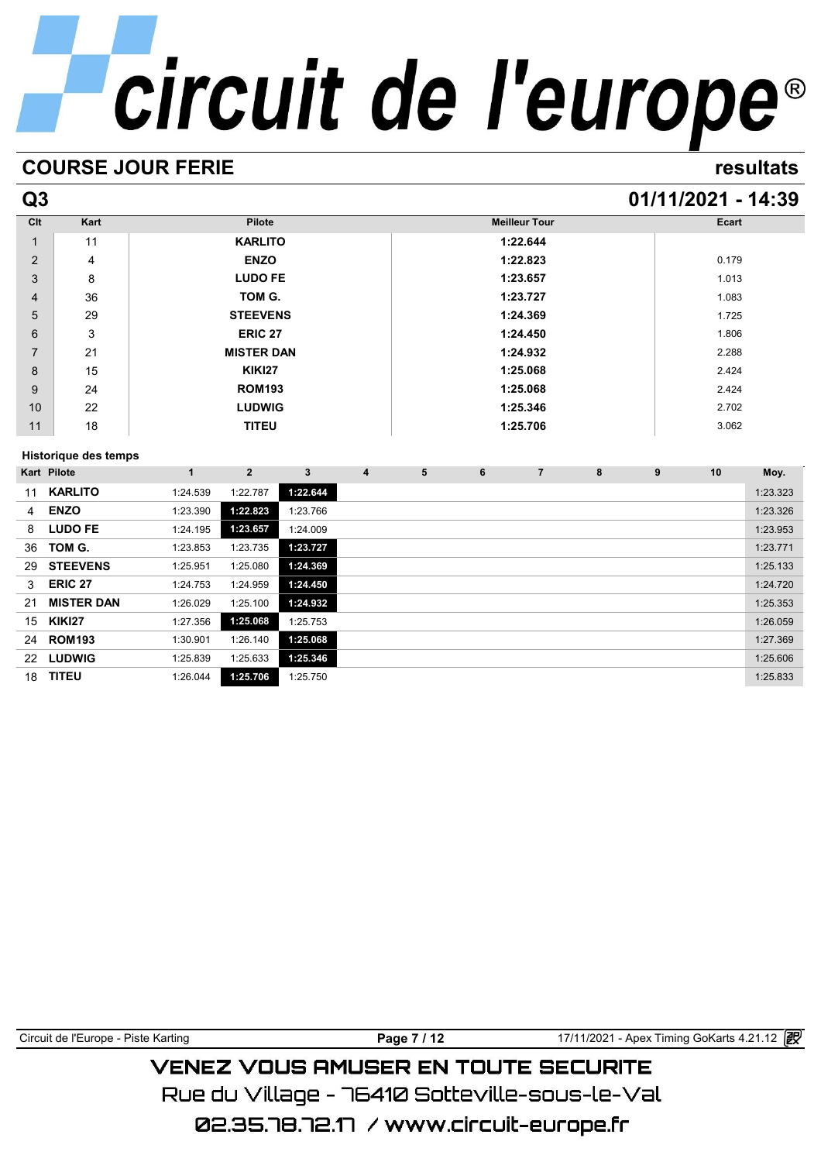# **COURSE JOUR FERIE resultats**

# **Q3 01/11/2021 - 14:39**

| Clt            | Kart                 | Pilote            | <b>Meilleur Tour</b> | Ecart |
|----------------|----------------------|-------------------|----------------------|-------|
| 1              | 11                   | <b>KARLITO</b>    | 1:22.644             |       |
| 2              | 4                    | <b>ENZO</b>       | 1:22.823             | 0.179 |
| 3              | 8                    | <b>LUDO FE</b>    | 1:23.657             | 1.013 |
| $\overline{4}$ | 36                   | TOM G.            | 1:23.727             | 1.083 |
| 5              | 29                   | <b>STEEVENS</b>   | 1:24.369             | 1.725 |
| 6              | 3                    | <b>ERIC 27</b>    | 1:24.450             | 1.806 |
| $\overline{7}$ | 21                   | <b>MISTER DAN</b> | 1:24.932             | 2.288 |
| 8              | 15                   | <b>KIKI27</b>     | 1:25.068             | 2.424 |
| 9              | 24                   | <b>ROM193</b>     | 1:25.068             | 2.424 |
| 10             | 22                   | <b>LUDWIG</b>     | 1:25.346             | 2.702 |
| 11             | 18                   | <b>TITEU</b>      | 1:25.706             | 3.062 |
|                | Historiaus des temps |                   |                      |       |

# **Historique des temps**

|                | <b>Historique des temps</b> |          |              |          |   |   |   |                |   |   |                 |          |
|----------------|-----------------------------|----------|--------------|----------|---|---|---|----------------|---|---|-----------------|----------|
|                | Kart Pilote                 | 1        | $\mathbf{2}$ | 3        | 4 | 5 | 6 | $\overline{7}$ | 8 | 9 | 10 <sup>1</sup> | Moy.     |
| 11             | <b>KARLITO</b>              | 1:24.539 | 1:22.787     | 1:22.644 |   |   |   |                |   |   |                 | 1:23.323 |
| $\overline{4}$ | <b>ENZO</b>                 | 1:23.390 | 1:22.823     | 1:23.766 |   |   |   |                |   |   |                 | 1:23.326 |
| 8              | <b>LUDO FE</b>              | 1:24.195 | 1:23.657     | 1:24.009 |   |   |   |                |   |   |                 | 1:23.953 |
| 36             | TOM G.                      | 1:23.853 | 1:23.735     | 1:23.727 |   |   |   |                |   |   |                 | 1:23.771 |
| 29             | <b>STEEVENS</b>             | 1:25.951 | 1:25.080     | 1:24.369 |   |   |   |                |   |   |                 | 1:25.133 |
| 3              | <b>ERIC 27</b>              | 1:24.753 | 1:24.959     | 1:24.450 |   |   |   |                |   |   |                 | 1:24.720 |
| 21             | <b>MISTER DAN</b>           | 1:26.029 | 1:25.100     | 1:24.932 |   |   |   |                |   |   |                 | 1:25.353 |
| 15             | <b>KIKI27</b>               | 1:27.356 | 1:25.068     | 1:25.753 |   |   |   |                |   |   |                 | 1:26.059 |
| 24             | <b>ROM193</b>               | 1:30.901 | 1:26.140     | 1:25.068 |   |   |   |                |   |   |                 | 1:27.369 |
| 22             | <b>LUDWIG</b>               | 1:25.839 | 1:25.633     | 1:25.346 |   |   |   |                |   |   |                 | 1:25.606 |
| 18             | <b>TITEU</b>                | 1:26.044 | 1:25.706     | 1:25.750 |   |   |   |                |   |   |                 | 1:25.833 |

| Circuit de l'Europe - Piste Karting | Page 7 / 12 | 17/11/2021 - Apex Timing GoKarts 4.21.12 2 |  |  |  |  |  |  |  |  |
|-------------------------------------|-------------|--------------------------------------------|--|--|--|--|--|--|--|--|
| VENEZ VOUS AMUSER EN TOUTE SECURITE |             |                                            |  |  |  |  |  |  |  |  |

Rue du Village – 76410 Sotteville-sous-le-Val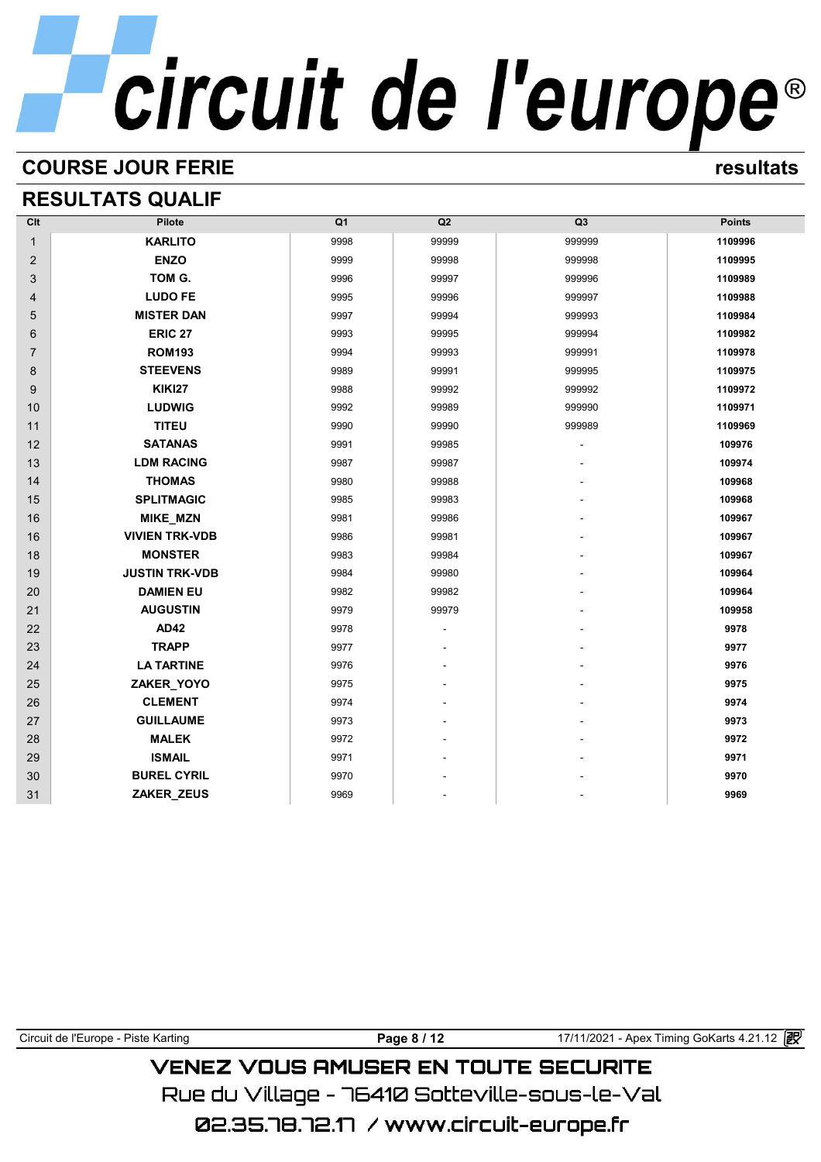# **COURSE JOUR FERIE resultats**

# **RESULTATS QUALIF**

| Clt            | Pilote                | Q <sub>1</sub> | Q2    | Q <sub>3</sub> | <b>Points</b> |
|----------------|-----------------------|----------------|-------|----------------|---------------|
| $\mathbf{1}$   | <b>KARLITO</b>        | 9998           | 99999 | 999999         | 1109996       |
| 2              | <b>ENZO</b>           | 9999           | 99998 | 999998         | 1109995       |
| 3              | TOM G.                | 9996           | 99997 | 999996         | 1109989       |
| $\overline{4}$ | <b>LUDO FE</b>        | 9995           | 99996 | 999997         | 1109988       |
| 5              | <b>MISTER DAN</b>     | 9997           | 99994 | 999993         | 1109984       |
| 6              | <b>ERIC 27</b>        | 9993           | 99995 | 999994         | 1109982       |
| $\overline{7}$ | <b>ROM193</b>         | 9994           | 99993 | 999991         | 1109978       |
| 8              | <b>STEEVENS</b>       | 9989           | 99991 | 999995         | 1109975       |
| 9              | <b>KIKI27</b>         | 9988           | 99992 | 999992         | 1109972       |
| 10             | <b>LUDWIG</b>         | 9992           | 99989 | 999990         | 1109971       |
| 11             | <b>TITEU</b>          | 9990           | 99990 | 999989         | 1109969       |
| 12             | <b>SATANAS</b>        | 9991           | 99985 |                | 109976        |
| 13             | <b>LDM RACING</b>     | 9987           | 99987 |                | 109974        |
| 14             | <b>THOMAS</b>         | 9980           | 99988 |                | 109968        |
| 15             | <b>SPLITMAGIC</b>     | 9985           | 99983 |                | 109968        |
| 16             | MIKE_MZN              | 9981           | 99986 |                | 109967        |
| 16             | <b>VIVIEN TRK-VDB</b> | 9986           | 99981 |                | 109967        |
| 18             | <b>MONSTER</b>        | 9983           | 99984 |                | 109967        |
| 19             | <b>JUSTIN TRK-VDB</b> | 9984           | 99980 |                | 109964        |
| 20             | <b>DAMIEN EU</b>      | 9982           | 99982 |                | 109964        |
| 21             | <b>AUGUSTIN</b>       | 9979           | 99979 |                | 109958        |
| 22             | <b>AD42</b>           | 9978           |       |                | 9978          |
| 23             | <b>TRAPP</b>          | 9977           |       |                | 9977          |
| 24             | <b>LA TARTINE</b>     | 9976           |       |                | 9976          |
| 25             | ZAKER_YOYO            | 9975           |       |                | 9975          |
| 26             | <b>CLEMENT</b>        | 9974           |       |                | 9974          |
| 27             | <b>GUILLAUME</b>      | 9973           |       |                | 9973          |
| 28             | <b>MALEK</b>          | 9972           |       |                | 9972          |
| 29             | <b>ISMAIL</b>         | 9971           |       |                | 9971          |
| 30             | <b>BUREL CYRIL</b>    | 9970           |       |                | 9970          |
| 31             | ZAKER_ZEUS            | 9969           |       |                | 9969          |

# Circuit de l'Europe - Piste Karting **Page 8 / 12** 17/11/2021 - Apex Timing GoKarts 4.21.12 **VENEZ VOUS AMUSER EN TOUTE SECURITE** Rue du Village – 76410 Sotteville-sous-le-Val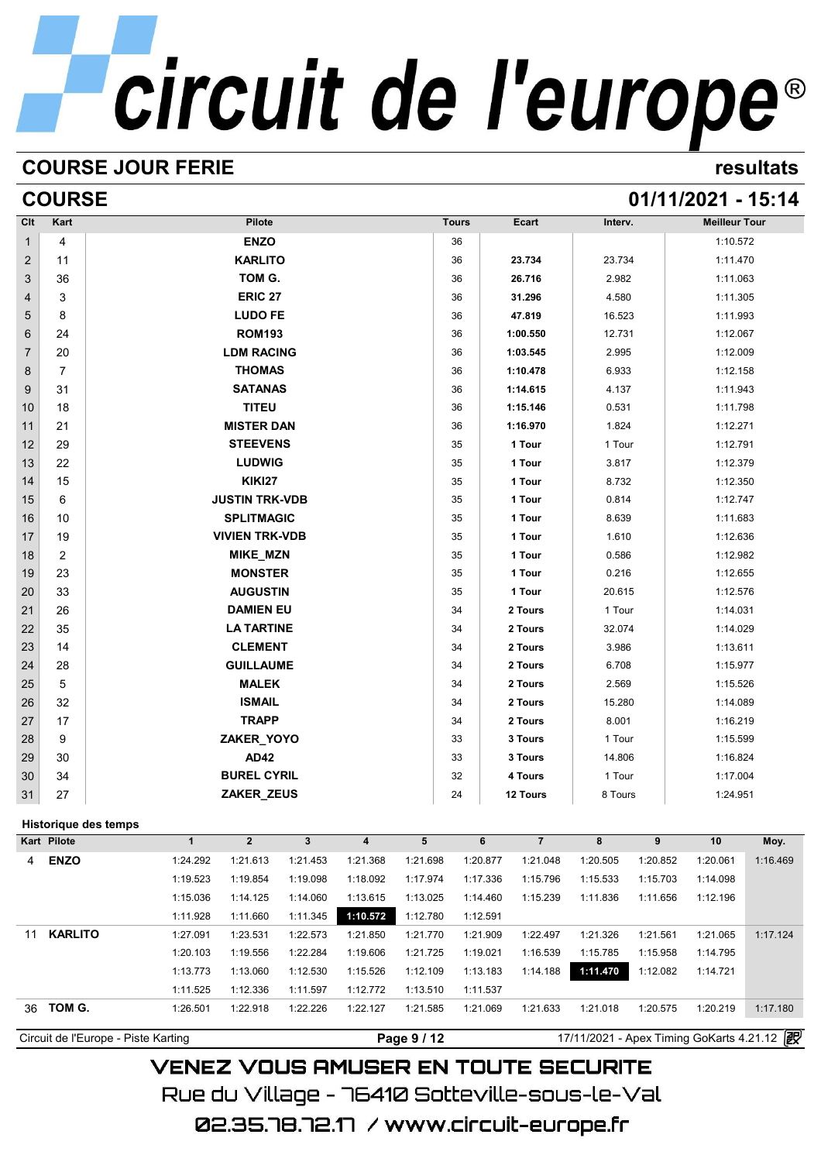# **COURSE JOUR FERIE resultats**

# **COURSE 01/11/2021 - 15:14**

| Kart           |             |                                               | Pilote        |          |                                                                                                                                                                                                                                                                                                                                                                                                                                                                                            |          |    |              | Ecart                                                                                 |                                                                                                                                                                                                                                                                                                                                  |          | <b>Meilleur Tour</b>                                                                                                                                                                                                                                                                               |          |
|----------------|-------------|-----------------------------------------------|---------------|----------|--------------------------------------------------------------------------------------------------------------------------------------------------------------------------------------------------------------------------------------------------------------------------------------------------------------------------------------------------------------------------------------------------------------------------------------------------------------------------------------------|----------|----|--------------|---------------------------------------------------------------------------------------|----------------------------------------------------------------------------------------------------------------------------------------------------------------------------------------------------------------------------------------------------------------------------------------------------------------------------------|----------|----------------------------------------------------------------------------------------------------------------------------------------------------------------------------------------------------------------------------------------------------------------------------------------------------|----------|
| 4              |             |                                               | <b>ENZO</b>   |          |                                                                                                                                                                                                                                                                                                                                                                                                                                                                                            |          | 36 |              |                                                                                       |                                                                                                                                                                                                                                                                                                                                  |          | 1:10.572                                                                                                                                                                                                                                                                                           |          |
| 11             |             |                                               |               |          |                                                                                                                                                                                                                                                                                                                                                                                                                                                                                            |          | 36 |              |                                                                                       |                                                                                                                                                                                                                                                                                                                                  |          | 1:11.470                                                                                                                                                                                                                                                                                           |          |
| 36             |             |                                               |               |          |                                                                                                                                                                                                                                                                                                                                                                                                                                                                                            |          | 36 |              |                                                                                       |                                                                                                                                                                                                                                                                                                                                  |          | 1:11.063                                                                                                                                                                                                                                                                                           |          |
| 3              |             |                                               |               |          |                                                                                                                                                                                                                                                                                                                                                                                                                                                                                            |          | 36 |              |                                                                                       |                                                                                                                                                                                                                                                                                                                                  |          | 1:11.305                                                                                                                                                                                                                                                                                           |          |
| 8              |             |                                               |               |          |                                                                                                                                                                                                                                                                                                                                                                                                                                                                                            |          | 36 |              |                                                                                       |                                                                                                                                                                                                                                                                                                                                  |          | 1:11.993                                                                                                                                                                                                                                                                                           |          |
| 24             |             |                                               |               |          |                                                                                                                                                                                                                                                                                                                                                                                                                                                                                            |          | 36 |              |                                                                                       |                                                                                                                                                                                                                                                                                                                                  |          | 1:12.067                                                                                                                                                                                                                                                                                           |          |
| 20             |             |                                               |               |          |                                                                                                                                                                                                                                                                                                                                                                                                                                                                                            |          | 36 |              |                                                                                       |                                                                                                                                                                                                                                                                                                                                  |          | 1:12.009                                                                                                                                                                                                                                                                                           |          |
| $\overline{7}$ |             |                                               |               |          |                                                                                                                                                                                                                                                                                                                                                                                                                                                                                            |          | 36 |              |                                                                                       |                                                                                                                                                                                                                                                                                                                                  |          | 1:12.158                                                                                                                                                                                                                                                                                           |          |
| 31             |             |                                               |               |          |                                                                                                                                                                                                                                                                                                                                                                                                                                                                                            |          | 36 |              |                                                                                       |                                                                                                                                                                                                                                                                                                                                  |          | 1:11.943                                                                                                                                                                                                                                                                                           |          |
| 18             |             |                                               | <b>TITEU</b>  |          |                                                                                                                                                                                                                                                                                                                                                                                                                                                                                            |          | 36 |              |                                                                                       |                                                                                                                                                                                                                                                                                                                                  |          | 1:11.798                                                                                                                                                                                                                                                                                           |          |
| 21             |             |                                               |               |          |                                                                                                                                                                                                                                                                                                                                                                                                                                                                                            |          | 36 |              |                                                                                       |                                                                                                                                                                                                                                                                                                                                  |          | 1:12.271                                                                                                                                                                                                                                                                                           |          |
| 29             |             |                                               |               |          |                                                                                                                                                                                                                                                                                                                                                                                                                                                                                            |          | 35 |              |                                                                                       |                                                                                                                                                                                                                                                                                                                                  |          | 1:12.791                                                                                                                                                                                                                                                                                           |          |
| 22             |             |                                               |               |          |                                                                                                                                                                                                                                                                                                                                                                                                                                                                                            |          | 35 |              |                                                                                       |                                                                                                                                                                                                                                                                                                                                  |          | 1:12.379                                                                                                                                                                                                                                                                                           |          |
| 15             |             |                                               | <b>KIKI27</b> |          |                                                                                                                                                                                                                                                                                                                                                                                                                                                                                            |          | 35 |              |                                                                                       |                                                                                                                                                                                                                                                                                                                                  |          | 1:12.350                                                                                                                                                                                                                                                                                           |          |
| 6              |             |                                               |               |          |                                                                                                                                                                                                                                                                                                                                                                                                                                                                                            |          | 35 |              |                                                                                       |                                                                                                                                                                                                                                                                                                                                  |          | 1:12.747                                                                                                                                                                                                                                                                                           |          |
| 10             |             |                                               |               |          |                                                                                                                                                                                                                                                                                                                                                                                                                                                                                            |          | 35 |              |                                                                                       |                                                                                                                                                                                                                                                                                                                                  |          | 1:11.683                                                                                                                                                                                                                                                                                           |          |
| 19             |             |                                               |               |          |                                                                                                                                                                                                                                                                                                                                                                                                                                                                                            |          | 35 |              |                                                                                       |                                                                                                                                                                                                                                                                                                                                  |          | 1:12.636                                                                                                                                                                                                                                                                                           |          |
| 2              |             |                                               |               |          |                                                                                                                                                                                                                                                                                                                                                                                                                                                                                            |          | 35 |              |                                                                                       |                                                                                                                                                                                                                                                                                                                                  |          | 1:12.982                                                                                                                                                                                                                                                                                           |          |
| 23             |             |                                               |               |          |                                                                                                                                                                                                                                                                                                                                                                                                                                                                                            |          | 35 |              |                                                                                       |                                                                                                                                                                                                                                                                                                                                  |          | 1:12.655                                                                                                                                                                                                                                                                                           |          |
| 33             |             |                                               |               |          |                                                                                                                                                                                                                                                                                                                                                                                                                                                                                            |          | 35 |              |                                                                                       |                                                                                                                                                                                                                                                                                                                                  |          | 1:12.576                                                                                                                                                                                                                                                                                           |          |
| 26             |             |                                               |               |          |                                                                                                                                                                                                                                                                                                                                                                                                                                                                                            |          | 34 |              |                                                                                       |                                                                                                                                                                                                                                                                                                                                  |          | 1:14.031                                                                                                                                                                                                                                                                                           |          |
| 35             |             |                                               |               |          |                                                                                                                                                                                                                                                                                                                                                                                                                                                                                            |          | 34 |              |                                                                                       |                                                                                                                                                                                                                                                                                                                                  |          | 1:14.029                                                                                                                                                                                                                                                                                           |          |
| 14             |             |                                               |               |          |                                                                                                                                                                                                                                                                                                                                                                                                                                                                                            |          | 34 |              |                                                                                       |                                                                                                                                                                                                                                                                                                                                  |          | 1:13.611                                                                                                                                                                                                                                                                                           |          |
| 28             |             |                                               |               |          |                                                                                                                                                                                                                                                                                                                                                                                                                                                                                            |          | 34 |              |                                                                                       |                                                                                                                                                                                                                                                                                                                                  |          | 1:15.977                                                                                                                                                                                                                                                                                           |          |
| 5              |             |                                               |               |          |                                                                                                                                                                                                                                                                                                                                                                                                                                                                                            |          | 34 |              |                                                                                       |                                                                                                                                                                                                                                                                                                                                  |          | 1:15.526                                                                                                                                                                                                                                                                                           |          |
| 32             |             |                                               | <b>ISMAIL</b> |          |                                                                                                                                                                                                                                                                                                                                                                                                                                                                                            |          | 34 |              |                                                                                       |                                                                                                                                                                                                                                                                                                                                  |          | 1:14.089                                                                                                                                                                                                                                                                                           |          |
| 17             |             |                                               | <b>TRAPP</b>  |          |                                                                                                                                                                                                                                                                                                                                                                                                                                                                                            |          | 34 |              |                                                                                       |                                                                                                                                                                                                                                                                                                                                  |          | 1:16.219                                                                                                                                                                                                                                                                                           |          |
| 9              |             |                                               |               |          |                                                                                                                                                                                                                                                                                                                                                                                                                                                                                            |          | 33 |              |                                                                                       |                                                                                                                                                                                                                                                                                                                                  |          | 1:15.599                                                                                                                                                                                                                                                                                           |          |
| 30             |             |                                               | <b>AD42</b>   |          |                                                                                                                                                                                                                                                                                                                                                                                                                                                                                            |          | 33 |              |                                                                                       |                                                                                                                                                                                                                                                                                                                                  |          | 1:16.824                                                                                                                                                                                                                                                                                           |          |
| 34             |             |                                               |               |          |                                                                                                                                                                                                                                                                                                                                                                                                                                                                                            |          | 32 |              |                                                                                       |                                                                                                                                                                                                                                                                                                                                  |          | 1:17.004                                                                                                                                                                                                                                                                                           |          |
| 27             |             |                                               |               |          |                                                                                                                                                                                                                                                                                                                                                                                                                                                                                            |          | 24 |              |                                                                                       |                                                                                                                                                                                                                                                                                                                                  |          | 1:24.951                                                                                                                                                                                                                                                                                           |          |
|                |             |                                               |               |          |                                                                                                                                                                                                                                                                                                                                                                                                                                                                                            |          |    |              |                                                                                       |                                                                                                                                                                                                                                                                                                                                  |          |                                                                                                                                                                                                                                                                                                    |          |
|                |             | $\mathbf 1$                                   | $\mathbf{2}$  | 3        | $\overline{\mathbf{4}}$                                                                                                                                                                                                                                                                                                                                                                                                                                                                    | 5        |    |              | $\overline{7}$                                                                        | 8                                                                                                                                                                                                                                                                                                                                | 9        | 10                                                                                                                                                                                                                                                                                                 | Moy.     |
| <b>ENZO</b>    |             | 1:24.292                                      | 1:21.613      | 1:21.453 | 1:21.368                                                                                                                                                                                                                                                                                                                                                                                                                                                                                   | 1:21.698 |    |              | 1:21.048                                                                              | 1:20.505                                                                                                                                                                                                                                                                                                                         | 1:20.852 | 1:20.061                                                                                                                                                                                                                                                                                           | 1:16.469 |
|                |             | 1:19.523                                      | 1:19.854      | 1:19.098 | 1:18.092                                                                                                                                                                                                                                                                                                                                                                                                                                                                                   | 1:17.974 |    |              | 1:15.796                                                                              | 1:15.533                                                                                                                                                                                                                                                                                                                         | 1:15.703 | 1:14.098                                                                                                                                                                                                                                                                                           |          |
|                |             | 1:15.036                                      | 1:14.125      | 1:14.060 | 1:13.615                                                                                                                                                                                                                                                                                                                                                                                                                                                                                   | 1:13.025 |    |              | 1:15.239                                                                              | 1:11.836                                                                                                                                                                                                                                                                                                                         | 1:11.656 | 1:12.196                                                                                                                                                                                                                                                                                           |          |
|                |             | 1:11.928                                      | 1:11.660      | 1:11.345 | 1:10.572                                                                                                                                                                                                                                                                                                                                                                                                                                                                                   | 1:12.780 |    |              |                                                                                       |                                                                                                                                                                                                                                                                                                                                  |          |                                                                                                                                                                                                                                                                                                    |          |
|                |             | 1:27.091                                      | 1:23.531      | 1:22.573 | 1:21.850                                                                                                                                                                                                                                                                                                                                                                                                                                                                                   | 1:21.770 |    |              | 1:22.497                                                                              | 1:21.326                                                                                                                                                                                                                                                                                                                         | 1:21.561 | 1:21.065                                                                                                                                                                                                                                                                                           | 1:17.124 |
|                |             | 1:20.103                                      | 1:19.556      |          | 1:19.606                                                                                                                                                                                                                                                                                                                                                                                                                                                                                   | 1:21.725 |    |              | 1:16.539                                                                              | 1:15.785                                                                                                                                                                                                                                                                                                                         | 1:15.958 | 1:14.795                                                                                                                                                                                                                                                                                           |          |
|                |             | 1:13.773                                      | 1:13.060      | 1:12.530 | 1:15.526                                                                                                                                                                                                                                                                                                                                                                                                                                                                                   | 1:12.109 |    |              | 1:14.188                                                                              | 1:11.470                                                                                                                                                                                                                                                                                                                         | 1:12.082 | 1:14.721                                                                                                                                                                                                                                                                                           |          |
|                |             |                                               |               |          |                                                                                                                                                                                                                                                                                                                                                                                                                                                                                            |          |    |              |                                                                                       |                                                                                                                                                                                                                                                                                                                                  |          |                                                                                                                                                                                                                                                                                                    |          |
|                |             | 1:11.525                                      | 1:12.336      | 1:11.597 | 1:12.772                                                                                                                                                                                                                                                                                                                                                                                                                                                                                   | 1:13.510 |    | 1:11.537     |                                                                                       |                                                                                                                                                                                                                                                                                                                                  |          |                                                                                                                                                                                                                                                                                                    |          |
| 11             | Kart Pilote | <b>Historique des temps</b><br><b>KARLITO</b> |               |          | <b>KARLITO</b><br>TOM G.<br><b>ERIC 27</b><br><b>LUDO FE</b><br><b>ROM193</b><br><b>LDM RACING</b><br><b>THOMAS</b><br><b>SATANAS</b><br><b>MISTER DAN</b><br><b>STEEVENS</b><br><b>LUDWIG</b><br><b>JUSTIN TRK-VDB</b><br><b>SPLITMAGIC</b><br><b>VIVIEN TRK-VDB</b><br><b>MIKE_MZN</b><br><b>MONSTER</b><br><b>AUGUSTIN</b><br><b>DAMIEN EU</b><br><b>LA TARTINE</b><br><b>CLEMENT</b><br><b>GUILLAUME</b><br><b>MALEK</b><br>ZAKER_YOYO<br><b>BUREL CYRIL</b><br>ZAKER_ZEUS<br>1:22.284 |          |    | <b>Tours</b> | 6<br>1:20.877<br>1:17.336<br>1:14.460<br>1:12.591<br>1:21.909<br>1:19.021<br>1:13.183 | 23.734<br>26.716<br>31.296<br>47.819<br>1:00.550<br>1:03.545<br>1:10.478<br>1:14.615<br>1:15.146<br>1:16.970<br>1 Tour<br>1 Tour<br>1 Tour<br>1 Tour<br>1 Tour<br>1 Tour<br>1 Tour<br>1 Tour<br>1 Tour<br>2 Tours<br>2 Tours<br>2 Tours<br>2 Tours<br>2 Tours<br>2 Tours<br>2 Tours<br>3 Tours<br>3 Tours<br>4 Tours<br>12 Tours |          | Interv.<br>23.734<br>2.982<br>4.580<br>16.523<br>12.731<br>2.995<br>6.933<br>4.137<br>0.531<br>1.824<br>1 Tour<br>3.817<br>8.732<br>0.814<br>8.639<br>1.610<br>0.586<br>0.216<br>20.615<br>1 Tour<br>32.074<br>3.986<br>6.708<br>2.569<br>15.280<br>8.001<br>1 Tour<br>14.806<br>1 Tour<br>8 Tours |          |

**VENEZ VOUS AMUSER EN TOUTE SECURITE** Rue du Village – 76410 Sotteville-sous-le-Val 02.35.78.72.17 / www.circuit-europe.fr

Circuit de l'Europe - Piste Karting **Page 9 / 12** 17/11/2021 - Apex Timing GoKarts 4.21.12 **P**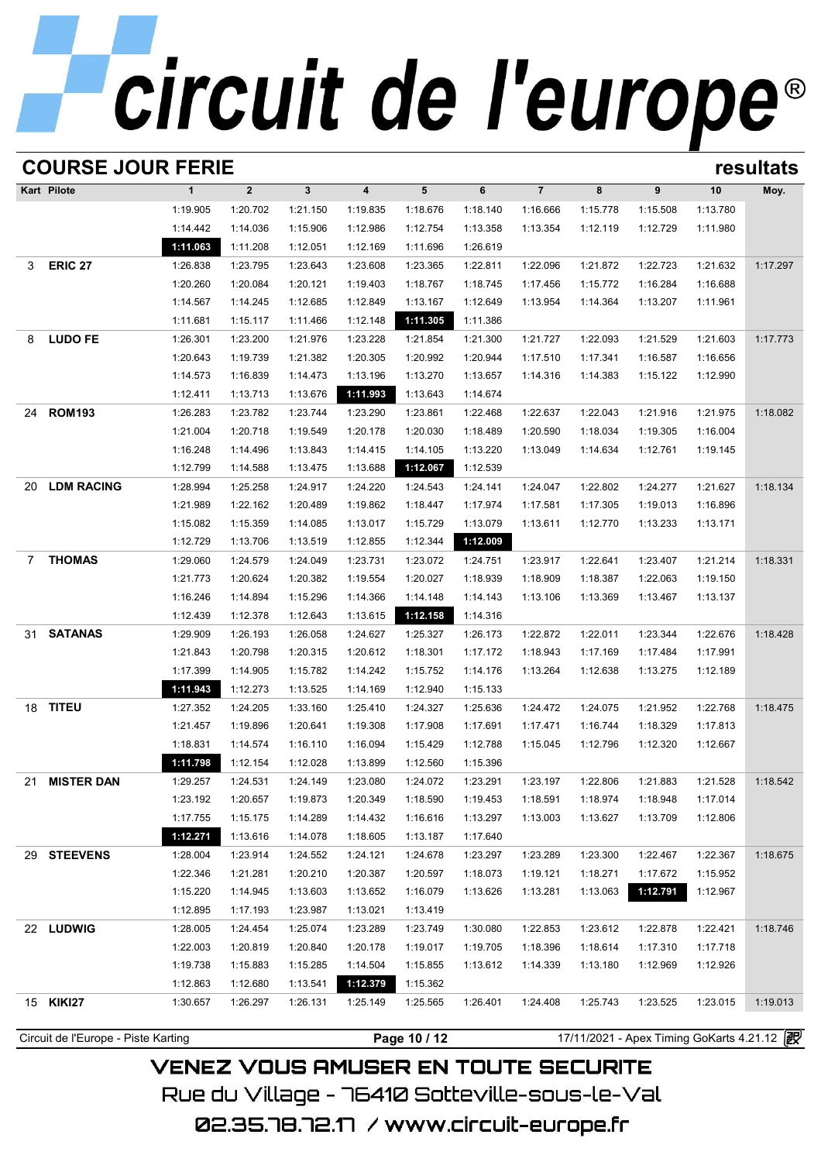|              | <b>COURSE JOUR FERIE</b><br>resultats |              |              |              |                         |              |          |                |                                            |          |          |          |  |  |
|--------------|---------------------------------------|--------------|--------------|--------------|-------------------------|--------------|----------|----------------|--------------------------------------------|----------|----------|----------|--|--|
|              | Kart Pilote                           | $\mathbf{1}$ | $\mathbf{2}$ | $\mathbf{3}$ | $\overline{\mathbf{4}}$ | 5            | 6        | $\overline{7}$ | 8                                          | 9        | 10       | Moy.     |  |  |
|              |                                       | 1:19.905     | 1:20.702     | 1:21.150     | 1:19.835                | 1:18.676     | 1:18.140 | 1:16.666       | 1:15.778                                   | 1:15.508 | 1:13.780 |          |  |  |
|              |                                       | 1:14.442     | 1:14.036     | 1:15.906     | 1:12.986                | 1:12.754     | 1:13.358 | 1:13.354       | 1:12.119                                   | 1:12.729 | 1:11.980 |          |  |  |
|              |                                       | 1:11.063     | 1:11.208     | 1:12.051     | 1:12.169                | 1:11.696     | 1:26.619 |                |                                            |          |          |          |  |  |
| 3            | <b>ERIC 27</b>                        | 1:26.838     | 1:23.795     | 1:23.643     | 1:23.608                | 1:23.365     | 1:22.811 | 1:22.096       | 1:21.872                                   | 1:22.723 | 1:21.632 | 1:17.297 |  |  |
|              |                                       | 1:20.260     | 1:20.084     | 1:20.121     | 1:19.403                | 1:18.767     | 1:18.745 | 1:17.456       | 1:15.772                                   | 1:16.284 | 1:16.688 |          |  |  |
|              |                                       | 1:14.567     | 1:14.245     | 1:12.685     | 1:12.849                | 1:13.167     | 1:12.649 | 1:13.954       | 1:14.364                                   | 1:13.207 | 1:11.961 |          |  |  |
|              |                                       | 1:11.681     | 1:15.117     | 1:11.466     | 1:12.148                | 1:11.305     | 1:11.386 |                |                                            |          |          |          |  |  |
| 8            | <b>LUDO FE</b>                        | 1:26.301     | 1:23.200     | 1:21.976     | 1:23.228                | 1:21.854     | 1:21.300 | 1:21.727       | 1:22.093                                   | 1:21.529 | 1:21.603 | 1:17.773 |  |  |
|              |                                       | 1:20.643     | 1:19.739     | 1:21.382     | 1:20.305                | 1:20.992     | 1:20.944 | 1:17.510       | 1:17.341                                   | 1:16.587 | 1:16.656 |          |  |  |
|              |                                       | 1:14.573     | 1:16.839     | 1:14.473     | 1:13.196                | 1:13.270     | 1:13.657 | 1:14.316       | 1:14.383                                   | 1:15.122 | 1:12.990 |          |  |  |
|              |                                       | 1:12.411     | 1:13.713     | 1:13.676     | 1:11.993                | 1:13.643     | 1:14.674 |                |                                            |          |          |          |  |  |
| 24           | <b>ROM193</b>                         | 1:26.283     | 1:23.782     | 1:23.744     | 1:23.290                | 1:23.861     | 1:22.468 | 1:22.637       | 1:22.043                                   | 1:21.916 | 1:21.975 | 1:18.082 |  |  |
|              |                                       | 1:21.004     | 1:20.718     | 1:19.549     | 1:20.178                | 1:20.030     | 1:18.489 | 1:20.590       | 1:18.034                                   | 1:19.305 | 1:16.004 |          |  |  |
|              |                                       | 1:16.248     | 1:14.496     | 1:13.843     | 1:14.415                | 1:14.105     | 1:13.220 | 1:13.049       | 1:14.634                                   | 1:12.761 | 1:19.145 |          |  |  |
|              |                                       | 1:12.799     | 1:14.588     | 1:13.475     | 1:13.688                | 1:12.067     | 1:12.539 |                |                                            |          |          |          |  |  |
| 20           | <b>LDM RACING</b>                     | 1:28.994     | 1:25.258     | 1:24.917     | 1:24.220                | 1:24.543     | 1:24.141 | 1:24.047       | 1:22.802                                   | 1:24.277 | 1:21.627 | 1:18.134 |  |  |
|              |                                       | 1:21.989     | 1:22.162     | 1:20.489     | 1:19.862                | 1:18.447     | 1:17.974 | 1:17.581       | 1:17.305                                   | 1:19.013 | 1:16.896 |          |  |  |
|              |                                       | 1:15.082     | 1:15.359     | 1:14.085     | 1:13.017                | 1:15.729     | 1:13.079 | 1:13.611       | 1:12.770                                   | 1:13.233 | 1:13.171 |          |  |  |
|              |                                       | 1:12.729     | 1:13.706     | 1:13.519     | 1:12.855                | 1:12.344     | 1:12.009 |                |                                            |          |          |          |  |  |
| $\mathbf{7}$ | <b>THOMAS</b>                         | 1:29.060     | 1:24.579     | 1:24.049     | 1:23.731                | 1:23.072     | 1:24.751 | 1:23.917       | 1:22.641                                   | 1:23.407 | 1:21.214 | 1:18.331 |  |  |
|              |                                       | 1:21.773     | 1:20.624     | 1:20.382     | 1:19.554                | 1:20.027     | 1:18.939 | 1:18.909       | 1:18.387                                   | 1:22.063 | 1:19.150 |          |  |  |
|              |                                       | 1:16.246     | 1:14.894     | 1:15.296     | 1:14.366                | 1:14.148     | 1:14.143 | 1:13.106       | 1:13.369                                   | 1:13.467 | 1:13.137 |          |  |  |
|              |                                       | 1:12.439     | 1:12.378     | 1:12.643     | 1:13.615                | 1:12.158     | 1:14.316 |                |                                            |          |          |          |  |  |
| 31           | <b>SATANAS</b>                        | 1:29.909     | 1:26.193     | 1:26.058     | 1:24.627                | 1:25.327     | 1:26.173 | 1:22.872       | 1:22.011                                   | 1:23.344 | 1:22.676 | 1:18.428 |  |  |
|              |                                       | 1:21.843     | 1:20.798     | 1:20.315     | 1:20.612                | 1:18.301     | 1:17.172 | 1:18.943       | 1:17.169                                   | 1:17.484 | 1:17.991 |          |  |  |
|              |                                       | 1:17.399     | 1:14.905     | 1:15.782     | 1:14.242                | 1:15.752     | 1:14.176 | 1:13.264       | 1:12.638                                   | 1:13.275 | 1:12.189 |          |  |  |
|              |                                       | 1:11.943     | 1:12.273     | 1:13.525     | 1:14.169                | 1:12.940     | 1:15.133 |                |                                            |          |          |          |  |  |
|              | 18 TITEU                              | 1:27.352     | 1:24.205     | 1:33.160     | 1:25.410                | 1:24.327     | 1:25.636 | 1:24.472       | 1:24.075                                   | 1:21.952 | 1:22.768 | 1:18.475 |  |  |
|              |                                       | 1:21.457     | 1:19.896     | 1:20.641     | 1:19.308                | 1:17.908     | 1:17.691 | 1:17.471       | 1:16.744                                   | 1:18.329 | 1:17.813 |          |  |  |
|              |                                       | 1:18.831     | 1:14.574     | 1:16.110     | 1:16.094                | 1:15.429     | 1:12.788 | 1:15.045       | 1:12.796                                   | 1:12.320 | 1:12.667 |          |  |  |
|              |                                       | 1:11.798     | 1:12.154     | 1:12.028     | 1:13.899                | 1:12.560     | 1:15.396 |                |                                            |          |          |          |  |  |
| 21.          | <b>MISTER DAN</b>                     | 1:29.257     | 1:24.531     | 1:24.149     | 1:23.080                | 1:24.072     | 1:23.291 | 1:23.197       | 1:22.806                                   | 1:21.883 | 1:21.528 | 1:18.542 |  |  |
|              |                                       | 1:23.192     | 1:20.657     | 1:19.873     | 1:20.349                | 1:18.590     | 1:19.453 | 1:18.591       | 1:18.974                                   | 1:18.948 | 1:17.014 |          |  |  |
|              |                                       | 1:17.755     | 1:15.175     | 1:14.289     | 1:14.432                | 1:16.616     | 1:13.297 | 1:13.003       | 1:13.627                                   | 1:13.709 | 1:12.806 |          |  |  |
|              |                                       | 1:12.271     | 1:13.616     | 1:14.078     | 1:18.605                | 1:13.187     | 1:17.640 |                |                                            |          |          |          |  |  |
|              | 29 STEEVENS                           | 1:28.004     | 1:23.914     | 1:24.552     | 1:24.121                | 1:24.678     | 1:23.297 | 1:23.289       | 1:23.300                                   | 1:22.467 | 1:22.367 | 1:18.675 |  |  |
|              |                                       | 1:22.346     | 1:21.281     | 1:20.210     | 1:20.387                | 1:20.597     | 1:18.073 | 1:19.121       | 1:18.271                                   | 1:17.672 | 1:15.952 |          |  |  |
|              |                                       | 1:15.220     | 1:14.945     | 1:13.603     | 1:13.652                | 1:16.079     | 1:13.626 | 1:13.281       | 1:13.063                                   | 1:12.791 | 1:12.967 |          |  |  |
|              |                                       | 1:12.895     | 1:17.193     | 1:23.987     | 1:13.021                | 1:13.419     |          |                |                                            |          |          |          |  |  |
|              | 22 LUDWIG                             | 1:28.005     | 1:24.454     | 1:25.074     | 1:23.289                | 1:23.749     | 1:30.080 | 1:22.853       | 1:23.612                                   | 1:22.878 | 1:22.421 | 1:18.746 |  |  |
|              |                                       | 1:22.003     | 1:20.819     | 1:20.840     | 1:20.178                | 1:19.017     | 1:19.705 | 1:18.396       | 1:18.614                                   | 1:17.310 | 1:17.718 |          |  |  |
|              |                                       | 1:19.738     | 1:15.883     | 1:15.285     | 1:14.504                | 1:15.855     | 1:13.612 | 1:14.339       | 1:13.180                                   | 1:12.969 | 1:12.926 |          |  |  |
|              |                                       | 1:12.863     | 1:12.680     | 1:13.541     | 1:12.379                | 1:15.362     |          |                |                                            |          |          |          |  |  |
|              | 15 <b>KIKI27</b>                      | 1:30.657     | 1:26.297     | 1:26.131     | 1:25.149                | 1:25.565     | 1:26.401 | 1:24.408       | 1:25.743                                   | 1:23.525 | 1:23.015 | 1:19.013 |  |  |
|              |                                       |              |              |              |                         |              |          |                |                                            |          |          |          |  |  |
|              | Circuit de l'Europe - Piste Karting   |              |              |              |                         | Page 10 / 12 |          |                | 17/11/2021 - Apex Timing GoKarts 4.21.12 2 |          |          |          |  |  |

**VENEZ VOUS AMUSER EN TOUTE SECURITE** Rue du Village – 76410 Sotteville-sous-le-Val 02.35.78.72.17 / www.circuit-europe.fr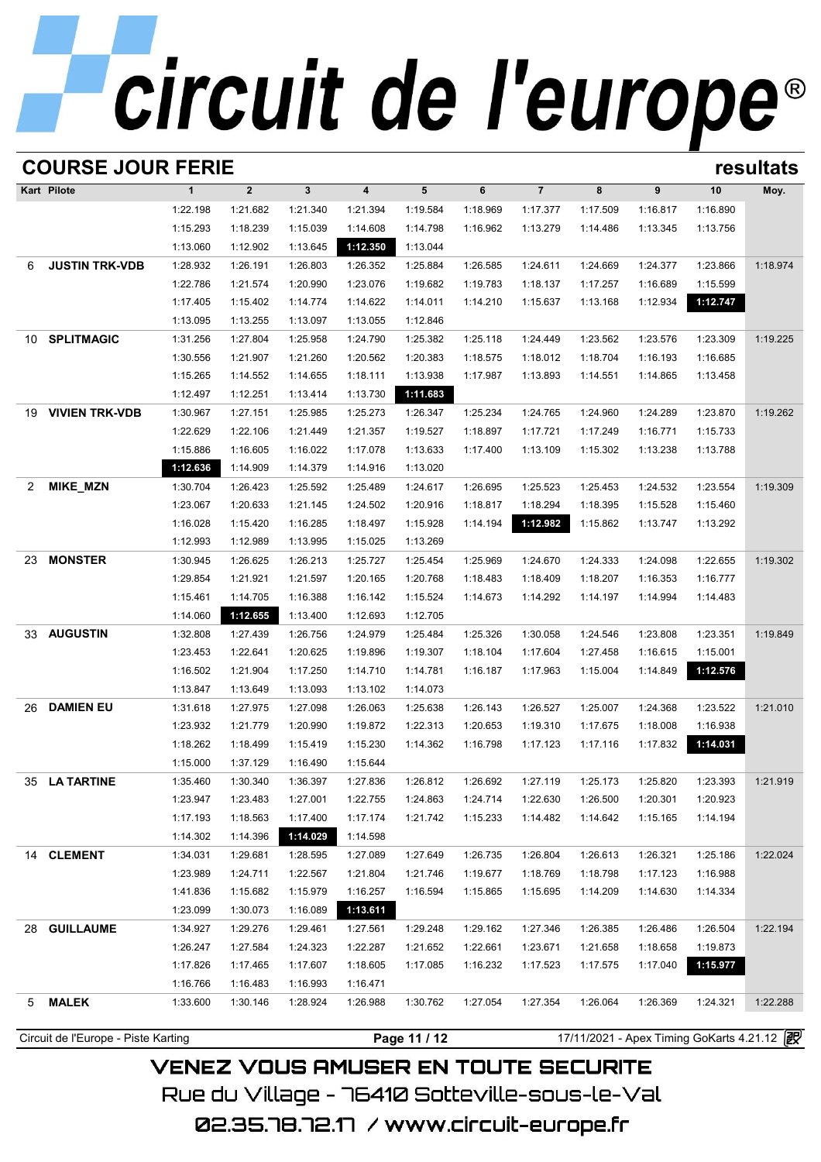|              | <b>COURSE JOUR FERIE</b><br>resultats |              |                |              |          |              |          |                |          |          |                                            |          |  |
|--------------|---------------------------------------|--------------|----------------|--------------|----------|--------------|----------|----------------|----------|----------|--------------------------------------------|----------|--|
|              | Kart Pilote                           | $\mathbf{1}$ | $\overline{2}$ | $\mathbf{3}$ | 4        | 5            | 6        | $\overline{7}$ | 8        | 9        | 10                                         | Moy.     |  |
|              |                                       | 1:22.198     | 1:21.682       | 1:21.340     | 1:21.394 | 1:19.584     | 1:18.969 | 1:17.377       | 1:17.509 | 1:16.817 | 1:16.890                                   |          |  |
|              |                                       | 1:15.293     | 1:18.239       | 1:15.039     | 1:14.608 | 1:14.798     | 1:16.962 | 1:13.279       | 1:14.486 | 1:13.345 | 1:13.756                                   |          |  |
|              |                                       | 1:13.060     | 1:12.902       | 1:13.645     | 1:12.350 | 1:13.044     |          |                |          |          |                                            |          |  |
| 6            | <b>JUSTIN TRK-VDB</b>                 | 1:28.932     | 1:26.191       | 1:26.803     | 1:26.352 | 1:25.884     | 1:26.585 | 1:24.611       | 1:24.669 | 1:24.377 | 1:23.866                                   | 1:18.974 |  |
|              |                                       | 1:22.786     | 1:21.574       | 1:20.990     | 1:23.076 | 1:19.682     | 1:19.783 | 1:18.137       | 1:17.257 | 1:16.689 | 1:15.599                                   |          |  |
|              |                                       | 1:17.405     | 1:15.402       | 1:14.774     | 1:14.622 | 1:14.011     | 1:14.210 | 1:15.637       | 1:13.168 | 1:12.934 | 1:12.747                                   |          |  |
|              |                                       | 1:13.095     | 1:13.255       | 1:13.097     | 1:13.055 | 1:12.846     |          |                |          |          |                                            |          |  |
| 10           | <b>SPLITMAGIC</b>                     | 1:31.256     | 1:27.804       | 1:25.958     | 1:24.790 | 1:25.382     | 1:25.118 | 1:24.449       | 1:23.562 | 1:23.576 | 1:23.309                                   | 1:19.225 |  |
|              |                                       | 1:30.556     | 1:21.907       | 1:21.260     | 1:20.562 | 1:20.383     | 1:18.575 | 1:18.012       | 1:18.704 | 1:16.193 | 1:16.685                                   |          |  |
|              |                                       | 1:15.265     | 1:14.552       | 1:14.655     | 1:18.111 | 1:13.938     | 1:17.987 | 1:13.893       | 1:14.551 | 1:14.865 | 1:13.458                                   |          |  |
|              |                                       | 1:12.497     | 1:12.251       | 1:13.414     | 1:13.730 | 1:11.683     |          |                |          |          |                                            |          |  |
| 19           | <b>VIVIEN TRK-VDB</b>                 | 1:30.967     | 1:27.151       | 1:25.985     | 1:25.273 | 1:26.347     | 1:25.234 | 1:24.765       | 1:24.960 | 1:24.289 | 1:23.870                                   | 1:19.262 |  |
|              |                                       | 1:22.629     | 1:22.106       | 1:21.449     | 1:21.357 | 1:19.527     | 1:18.897 | 1:17.721       | 1:17.249 | 1:16.771 | 1:15.733                                   |          |  |
|              |                                       | 1:15.886     | 1:16.605       | 1:16.022     | 1:17.078 | 1:13.633     | 1:17.400 | 1:13.109       | 1:15.302 | 1:13.238 | 1:13.788                                   |          |  |
|              |                                       | 1:12.636     | 1:14.909       | 1:14.379     | 1:14.916 | 1:13.020     |          |                |          |          |                                            |          |  |
| $\mathbf{2}$ | MIKE_MZN                              | 1:30.704     | 1:26.423       | 1:25.592     | 1:25.489 | 1:24.617     | 1:26.695 | 1:25.523       | 1:25.453 | 1:24.532 | 1:23.554                                   | 1:19.309 |  |
|              |                                       | 1:23.067     | 1:20.633       | 1:21.145     | 1:24.502 | 1:20.916     | 1:18.817 | 1:18.294       | 1:18.395 | 1:15.528 | 1:15.460                                   |          |  |
|              |                                       | 1:16.028     | 1:15.420       | 1:16.285     | 1:18.497 | 1:15.928     | 1:14.194 | 1:12.982       | 1:15.862 | 1:13.747 | 1:13.292                                   |          |  |
|              |                                       | 1:12.993     | 1:12.989       | 1:13.995     | 1:15.025 | 1:13.269     |          |                |          |          |                                            |          |  |
| 23           | <b>MONSTER</b>                        | 1:30.945     | 1:26.625       | 1:26.213     | 1:25.727 | 1:25.454     | 1:25.969 | 1:24.670       | 1:24.333 | 1:24.098 | 1:22.655                                   | 1:19.302 |  |
|              |                                       | 1:29.854     | 1:21.921       | 1:21.597     | 1:20.165 | 1:20.768     | 1:18.483 | 1:18.409       | 1:18.207 | 1:16.353 | 1:16.777                                   |          |  |
|              |                                       | 1:15.461     | 1:14.705       | 1:16.388     | 1:16.142 | 1:15.524     | 1:14.673 | 1:14.292       | 1:14.197 | 1:14.994 | 1:14.483                                   |          |  |
|              |                                       | 1:14.060     | 1:12.655       | 1:13.400     | 1:12.693 | 1:12.705     |          |                |          |          |                                            |          |  |
|              | 33 AUGUSTIN                           | 1:32.808     | 1:27.439       | 1:26.756     | 1:24.979 | 1:25.484     | 1:25.326 | 1:30.058       | 1:24.546 | 1:23.808 | 1:23.351                                   | 1:19.849 |  |
|              |                                       | 1:23.453     | 1:22.641       | 1:20.625     | 1:19.896 | 1:19.307     | 1:18.104 | 1:17.604       | 1:27.458 | 1:16.615 | 1:15.001                                   |          |  |
|              |                                       | 1:16.502     | 1:21.904       | 1:17.250     | 1:14.710 | 1:14.781     | 1:16.187 | 1:17.963       | 1:15.004 | 1:14.849 | 1:12.576                                   |          |  |
|              |                                       | 1:13.847     | 1:13.649       | 1:13.093     | 1:13.102 | 1:14.073     |          |                |          |          |                                            |          |  |
| 26           | <b>DAMIEN EU</b>                      | 1:31.618     | 1:27.975       | 1:27.098     | 1:26.063 | 1:25.638     | 1:26.143 | 1:26.527       | 1:25.007 | 1:24.368 | 1:23.522                                   | 1:21.010 |  |
|              |                                       | 1:23.932     | 1:21.779       | 1:20.990     | 1:19.872 | 1:22.313     | 1:20.653 | 1:19.310       | 1:17.675 | 1:18.008 | 1:16.938                                   |          |  |
|              |                                       | 1:18.262     | 1:18.499       | 1:15.419     | 1:15.230 | 1:14.362     | 1:16.798 | 1:17.123       | 1:17.116 | 1:17.832 | 1:14.031                                   |          |  |
|              |                                       | 1:15.000     | 1:37.129       | 1:16.490     | 1:15.644 |              |          |                |          |          |                                            |          |  |
| 35           | LA TARTINE                            | 1:35.460     | 1:30.340       | 1:36.397     | 1:27.836 | 1:26.812     | 1:26.692 | 1:27.119       | 1:25.173 | 1:25.820 | 1:23.393                                   | 1:21.919 |  |
|              |                                       | 1:23.947     | 1:23.483       | 1:27.001     | 1:22.755 | 1:24.863     | 1:24.714 | 1:22.630       | 1:26.500 | 1:20.301 | 1:20.923                                   |          |  |
|              |                                       | 1:17.193     | 1:18.563       | 1:17.400     | 1:17.174 | 1:21.742     | 1:15.233 | 1:14.482       | 1:14.642 | 1:15.165 | 1:14.194                                   |          |  |
|              |                                       | 1:14.302     | 1:14.396       | 1:14.029     | 1:14.598 |              |          |                |          |          |                                            |          |  |
|              | 14 CLEMENT                            | 1:34.031     | 1:29.681       | 1:28.595     | 1:27.089 | 1:27.649     | 1:26.735 | 1:26.804       | 1:26.613 | 1:26.321 | 1:25.186                                   | 1:22.024 |  |
|              |                                       | 1:23.989     | 1:24.711       | 1:22.567     | 1:21.804 | 1:21.746     | 1:19.677 | 1:18.769       | 1:18.798 | 1:17.123 | 1:16.988                                   |          |  |
|              |                                       | 1:41.836     | 1:15.682       | 1:15.979     | 1:16.257 | 1:16.594     | 1:15.865 | 1:15.695       | 1:14.209 | 1:14.630 | 1:14.334                                   |          |  |
|              |                                       | 1:23.099     | 1:30.073       | 1:16.089     | 1:13.611 |              |          |                |          |          |                                            |          |  |
| 28           | <b>GUILLAUME</b>                      | 1:34.927     | 1:29.276       | 1:29.461     | 1:27.561 | 1:29.248     | 1:29.162 | 1:27.346       | 1:26.385 | 1:26.486 | 1:26.504                                   | 1:22.194 |  |
|              |                                       | 1:26.247     | 1:27.584       | 1:24.323     | 1:22.287 | 1:21.652     | 1:22.661 | 1:23.671       | 1:21.658 | 1:18.658 | 1:19.873                                   |          |  |
|              |                                       | 1:17.826     | 1:17.465       | 1:17.607     | 1:18.605 | 1:17.085     | 1:16.232 | 1:17.523       | 1:17.575 | 1:17.040 | 1:15.977                                   |          |  |
|              |                                       | 1:16.766     | 1:16.483       | 1:16.993     | 1:16.471 |              |          |                |          |          |                                            |          |  |
| 5            | <b>MALEK</b>                          | 1:33.600     | 1:30.146       | 1:28.924     | 1:26.988 | 1:30.762     | 1:27.054 | 1:27.354       | 1:26.064 | 1:26.369 | 1:24.321                                   | 1:22.288 |  |
|              |                                       |              |                |              |          |              |          |                |          |          |                                            |          |  |
|              | Circuit de l'Europe - Piste Karting   |              |                |              |          | Page 11 / 12 |          |                |          |          | 17/11/2021 - Apex Timing GoKarts 4.21.12 2 |          |  |

**VENEZ VOUS AMUSER EN TOUTE SECURITE** Rue du Village – 76410 Sotteville-sous-le-Val